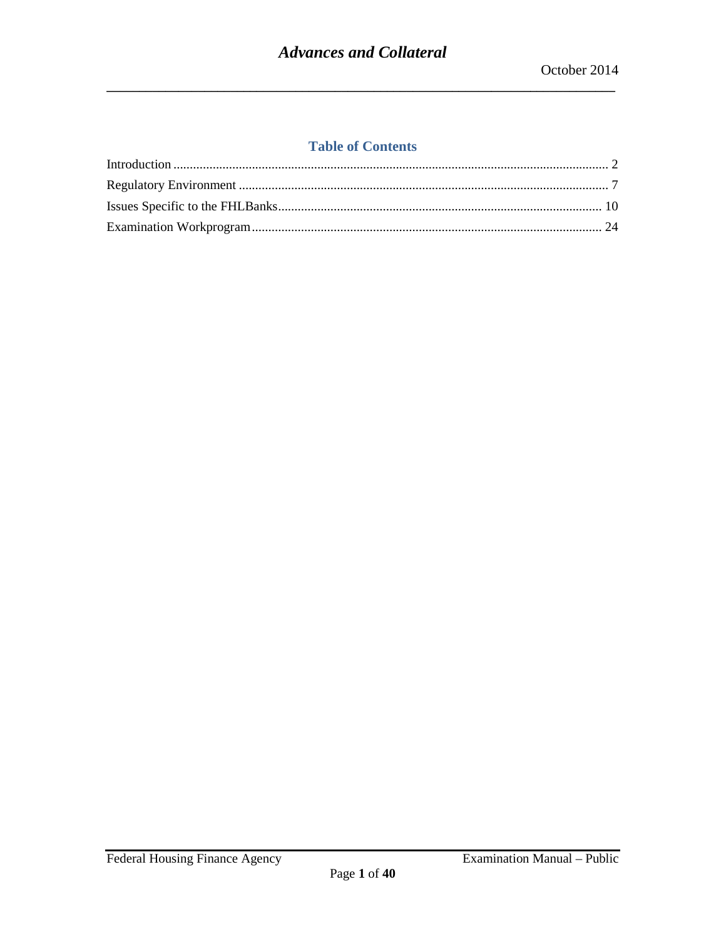## **Table of Contents**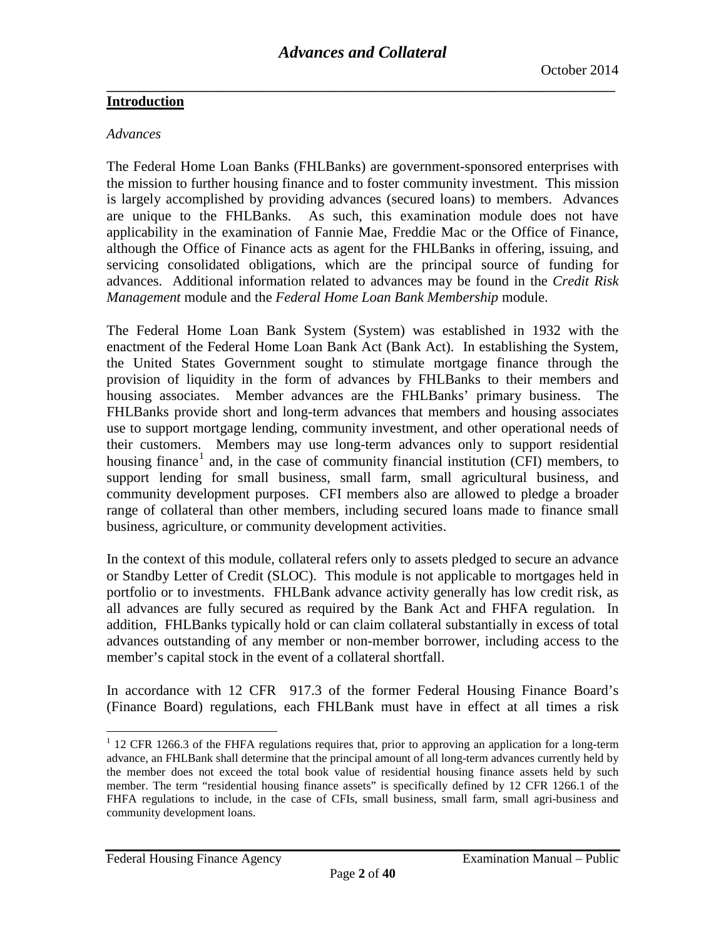#### <span id="page-1-0"></span>**Introduction**

#### *Advances*

The Federal Home Loan Banks (FHLBanks) are government-sponsored enterprises with the mission to further housing finance and to foster community investment. This mission is largely accomplished by providing advances (secured loans) to members. Advances are unique to the FHLBanks. As such, this examination module does not have applicability in the examination of Fannie Mae, Freddie Mac or the Office of Finance, although the Office of Finance acts as agent for the FHLBanks in offering, issuing, and servicing consolidated obligations, which are the principal source of funding for advances. Additional information related to advances may be found in the *Credit Risk Management* module and the *Federal Home Loan Bank Membership* module.

The Federal Home Loan Bank System (System) was established in 1932 with the enactment of the Federal Home Loan Bank Act (Bank Act). In establishing the System, the United States Government sought to stimulate mortgage finance through the provision of liquidity in the form of advances by FHLBanks to their members and housing associates. Member advances are the FHLBanks' primary business. The FHLBanks provide short and long-term advances that members and housing associates use to support mortgage lending, community investment, and other operational needs of their customers. Members may use long-term advances only to support residential housing finance<sup>[1](#page-1-1)</sup> and, in the case of community financial institution (CFI) members, to support lending for small business, small farm, small agricultural business, and community development purposes. CFI members also are allowed to pledge a broader range of collateral than other members, including secured loans made to finance small business, agriculture, or community development activities.

In the context of this module, collateral refers only to assets pledged to secure an advance or Standby Letter of Credit (SLOC). This module is not applicable to mortgages held in portfolio or to investments. FHLBank advance activity generally has low credit risk, as all advances are fully secured as required by the Bank Act and FHFA regulation. In addition, FHLBanks typically hold or can claim collateral substantially in excess of total advances outstanding of any member or non-member borrower, including access to the member's capital stock in the event of a collateral shortfall.

In accordance with 12 CFR 917.3 of the former Federal Housing Finance Board's (Finance Board) regulations, each FHLBank must have in effect at all times a risk

 $\overline{a}$ 

<span id="page-1-1"></span> $1$  12 CFR 1266.3 of the FHFA regulations requires that, prior to approving an application for a long-term advance, an FHLBank shall determine that the principal amount of all long-term advances currently held by the member does not exceed the total book value of residential housing finance assets held by such member. The term "residential housing finance assets" is specifically defined by 12 CFR 1266.1 of the FHFA regulations to include, in the case of CFIs, small business, small farm, small agri-business and community development loans.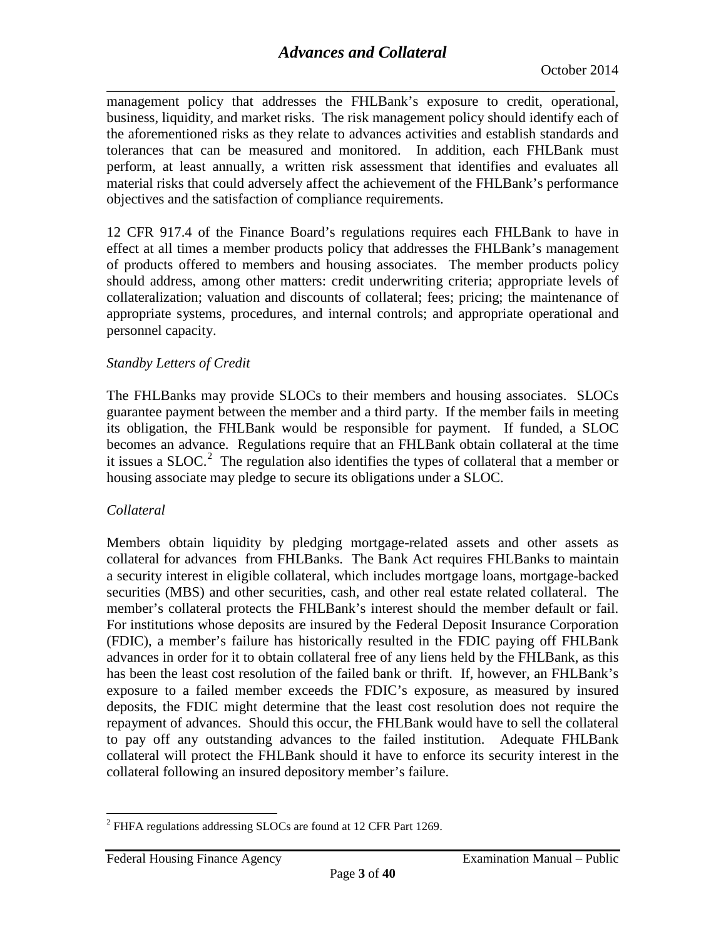**\_\_\_\_\_\_\_\_\_\_\_\_\_\_\_\_\_\_\_\_\_\_\_\_\_\_\_\_\_\_\_\_\_\_\_\_\_\_\_\_\_\_\_\_\_\_\_\_\_\_\_\_\_\_\_\_\_\_\_\_\_\_\_\_\_\_\_\_\_\_\_\_\_\_\_\_\_\_** management policy that addresses the FHLBank's exposure to credit, operational, business, liquidity, and market risks. The risk management policy should identify each of the aforementioned risks as they relate to advances activities and establish standards and tolerances that can be measured and monitored. In addition, each FHLBank must perform, at least annually, a written risk assessment that identifies and evaluates all material risks that could adversely affect the achievement of the FHLBank's performance objectives and the satisfaction of compliance requirements.

12 CFR 917.4 of the Finance Board's regulations requires each FHLBank to have in effect at all times a member products policy that addresses the FHLBank's management of products offered to members and housing associates. The member products policy should address, among other matters: credit underwriting criteria; appropriate levels of collateralization; valuation and discounts of collateral; fees; pricing; the maintenance of appropriate systems, procedures, and internal controls; and appropriate operational and personnel capacity.

## *Standby Letters of Credit*

The FHLBanks may provide SLOCs to their members and housing associates. SLOCs guarantee payment between the member and a third party. If the member fails in meeting its obligation, the FHLBank would be responsible for payment. If funded, a SLOC becomes an advance. Regulations require that an FHLBank obtain collateral at the time it issues a SLOC.<sup>[2](#page-2-0)</sup> The regulation also identifies the types of collateral that a member or housing associate may pledge to secure its obligations under a SLOC.

## *Collateral*

Members obtain liquidity by pledging mortgage-related assets and other assets as collateral for advances from FHLBanks. The Bank Act requires FHLBanks to maintain a security interest in eligible collateral, which includes mortgage loans, mortgage-backed securities (MBS) and other securities, cash, and other real estate related collateral. The member's collateral protects the FHLBank's interest should the member default or fail. For institutions whose deposits are insured by the Federal Deposit Insurance Corporation (FDIC), a member's failure has historically resulted in the FDIC paying off FHLBank advances in order for it to obtain collateral free of any liens held by the FHLBank, as this has been the least cost resolution of the failed bank or thrift. If, however, an FHLBank's exposure to a failed member exceeds the FDIC's exposure, as measured by insured deposits, the FDIC might determine that the least cost resolution does not require the repayment of advances. Should this occur, the FHLBank would have to sell the collateral to pay off any outstanding advances to the failed institution. Adequate FHLBank collateral will protect the FHLBank should it have to enforce its security interest in the collateral following an insured depository member's failure.

<span id="page-2-0"></span><sup>2</sup> FHFA regulations addressing SLOCs are found at 12 CFR Part 1269.  $\overline{a}$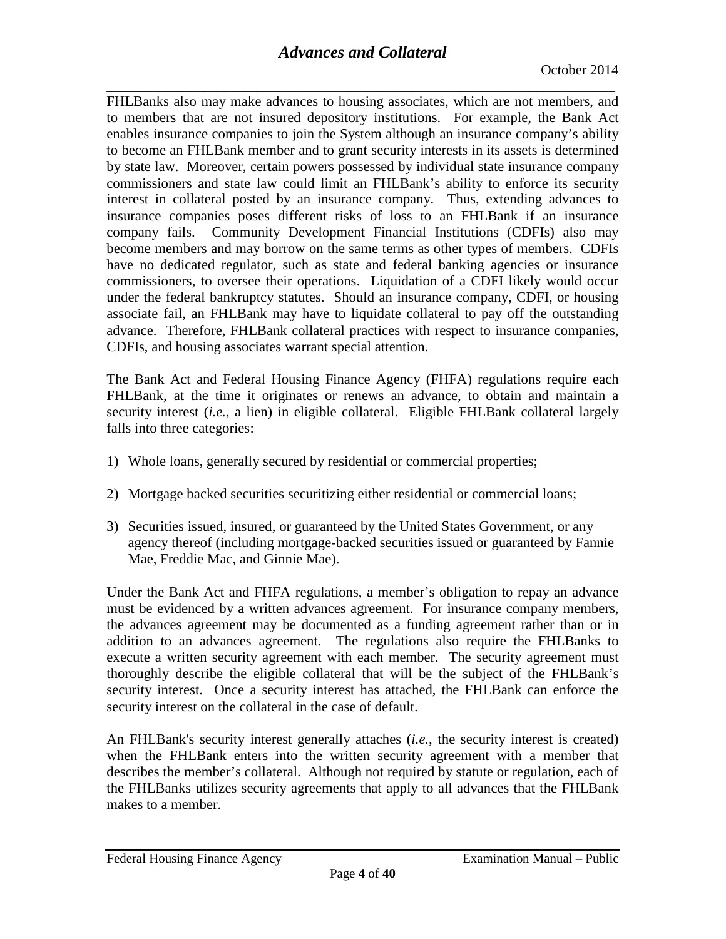**\_\_\_\_\_\_\_\_\_\_\_\_\_\_\_\_\_\_\_\_\_\_\_\_\_\_\_\_\_\_\_\_\_\_\_\_\_\_\_\_\_\_\_\_\_\_\_\_\_\_\_\_\_\_\_\_\_\_\_\_\_\_\_\_\_\_\_\_\_\_\_\_\_\_\_\_\_\_** FHLBanks also may make advances to housing associates, which are not members, and to members that are not insured depository institutions. For example, the Bank Act enables insurance companies to join the System although an insurance company's ability to become an FHLBank member and to grant security interests in its assets is determined by state law. Moreover, certain powers possessed by individual state insurance company commissioners and state law could limit an FHLBank's ability to enforce its security interest in collateral posted by an insurance company. Thus, extending advances to insurance companies poses different risks of loss to an FHLBank if an insurance company fails. Community Development Financial Institutions (CDFIs) also may become members and may borrow on the same terms as other types of members. CDFIs have no dedicated regulator, such as state and federal banking agencies or insurance commissioners, to oversee their operations. Liquidation of a CDFI likely would occur under the federal bankruptcy statutes. Should an insurance company, CDFI, or housing associate fail, an FHLBank may have to liquidate collateral to pay off the outstanding advance. Therefore, FHLBank collateral practices with respect to insurance companies, CDFIs, and housing associates warrant special attention.

The Bank Act and Federal Housing Finance Agency (FHFA) regulations require each FHLBank, at the time it originates or renews an advance, to obtain and maintain a security interest *(i.e., a lien)* in eligible collateral. Eligible FHLBank collateral largely falls into three categories:

- 1) Whole loans, generally secured by residential or commercial properties;
- 2) Mortgage backed securities securitizing either residential or commercial loans;
- 3) Securities issued, insured, or guaranteed by the United States Government, or any agency thereof (including mortgage-backed securities issued or guaranteed by Fannie Mae, Freddie Mac, and Ginnie Mae).

Under the Bank Act and FHFA regulations, a member's obligation to repay an advance must be evidenced by a written advances agreement. For insurance company members, the advances agreement may be documented as a funding agreement rather than or in addition to an advances agreement. The regulations also require the FHLBanks to execute a written security agreement with each member. The security agreement must thoroughly describe the eligible collateral that will be the subject of the FHLBank's security interest. Once a security interest has attached, the FHLBank can enforce the security interest on the collateral in the case of default.

An FHLBank's security interest generally attaches (*i.e.,* the security interest is created) when the FHLBank enters into the written security agreement with a member that describes the member's collateral. Although not required by statute or regulation, each of the FHLBanks utilizes security agreements that apply to all advances that the FHLBank makes to a member.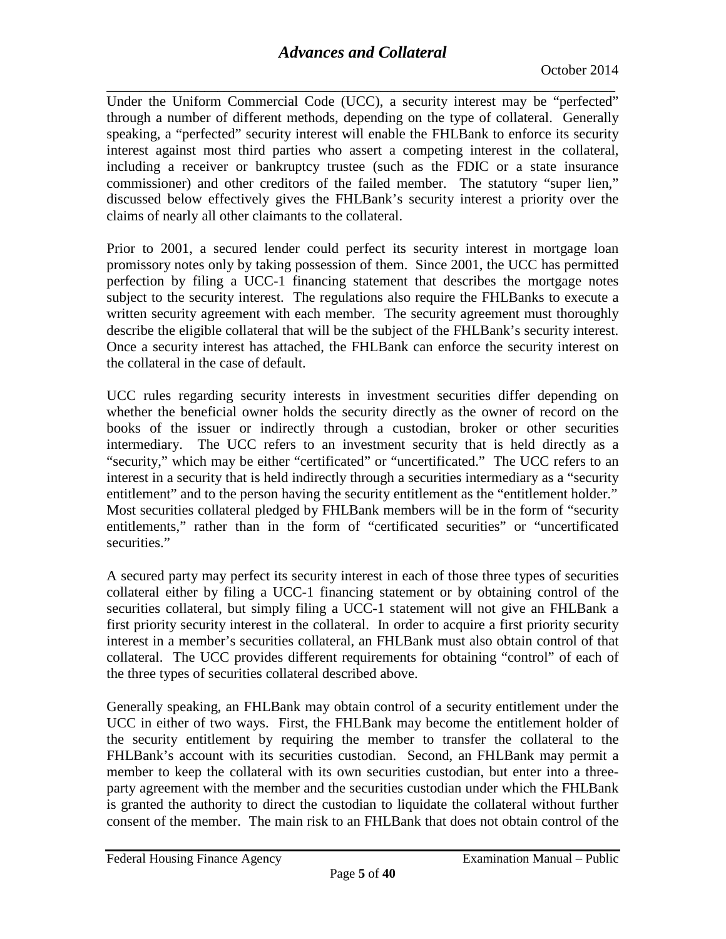**\_\_\_\_\_\_\_\_\_\_\_\_\_\_\_\_\_\_\_\_\_\_\_\_\_\_\_\_\_\_\_\_\_\_\_\_\_\_\_\_\_\_\_\_\_\_\_\_\_\_\_\_\_\_\_\_\_\_\_\_\_\_\_\_\_\_\_\_\_\_\_\_\_\_\_\_\_\_** Under the Uniform Commercial Code (UCC), a security interest may be "perfected" through a number of different methods, depending on the type of collateral. Generally speaking, a "perfected" security interest will enable the FHLBank to enforce its security interest against most third parties who assert a competing interest in the collateral, including a receiver or bankruptcy trustee (such as the FDIC or a state insurance commissioner) and other creditors of the failed member. The statutory "super lien," discussed below effectively gives the FHLBank's security interest a priority over the claims of nearly all other claimants to the collateral.

Prior to 2001, a secured lender could perfect its security interest in mortgage loan promissory notes only by taking possession of them. Since 2001, the UCC has permitted perfection by filing a UCC-1 financing statement that describes the mortgage notes subject to the security interest. The regulations also require the FHLBanks to execute a written security agreement with each member. The security agreement must thoroughly describe the eligible collateral that will be the subject of the FHLBank's security interest. Once a security interest has attached, the FHLBank can enforce the security interest on the collateral in the case of default.

UCC rules regarding security interests in investment securities differ depending on whether the beneficial owner holds the security directly as the owner of record on the books of the issuer or indirectly through a custodian, broker or other securities intermediary. The UCC refers to an investment security that is held directly as a "security," which may be either "certificated" or "uncertificated." The UCC refers to an interest in a security that is held indirectly through a securities intermediary as a "security entitlement" and to the person having the security entitlement as the "entitlement holder." Most securities collateral pledged by FHLBank members will be in the form of "security entitlements," rather than in the form of "certificated securities" or "uncertificated securities."

A secured party may perfect its security interest in each of those three types of securities collateral either by filing a UCC-1 financing statement or by obtaining control of the securities collateral, but simply filing a UCC-1 statement will not give an FHLBank a first priority security interest in the collateral. In order to acquire a first priority security interest in a member's securities collateral, an FHLBank must also obtain control of that collateral. The UCC provides different requirements for obtaining "control" of each of the three types of securities collateral described above.

Generally speaking, an FHLBank may obtain control of a security entitlement under the UCC in either of two ways. First, the FHLBank may become the entitlement holder of the security entitlement by requiring the member to transfer the collateral to the FHLBank's account with its securities custodian. Second, an FHLBank may permit a member to keep the collateral with its own securities custodian, but enter into a threeparty agreement with the member and the securities custodian under which the FHLBank is granted the authority to direct the custodian to liquidate the collateral without further consent of the member. The main risk to an FHLBank that does not obtain control of the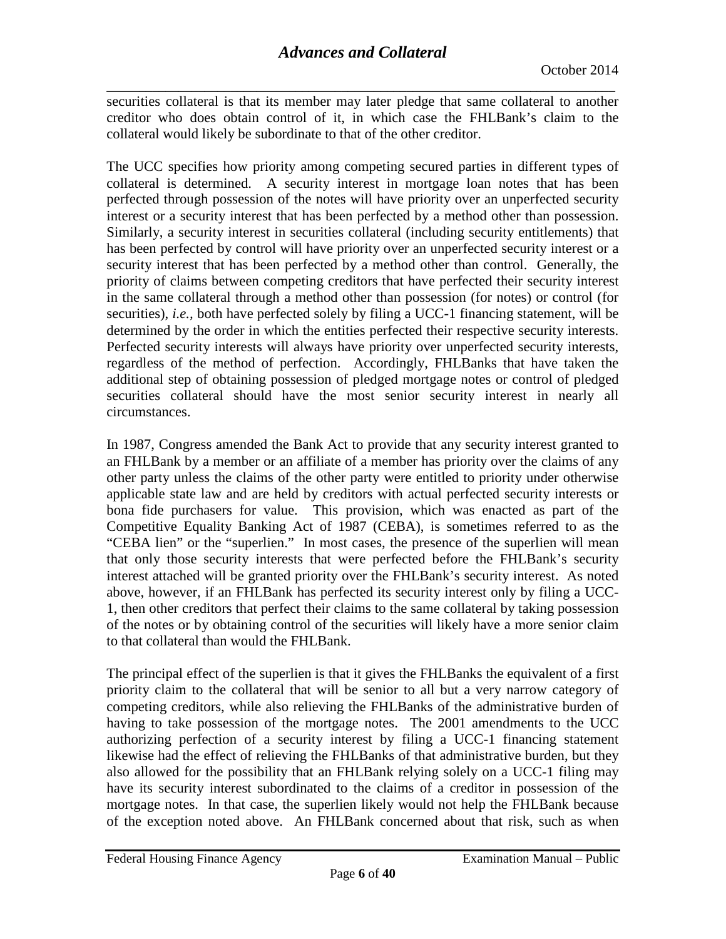**\_\_\_\_\_\_\_\_\_\_\_\_\_\_\_\_\_\_\_\_\_\_\_\_\_\_\_\_\_\_\_\_\_\_\_\_\_\_\_\_\_\_\_\_\_\_\_\_\_\_\_\_\_\_\_\_\_\_\_\_\_\_\_\_\_\_\_\_\_\_\_\_\_\_\_\_\_\_** securities collateral is that its member may later pledge that same collateral to another creditor who does obtain control of it, in which case the FHLBank's claim to the collateral would likely be subordinate to that of the other creditor.

The UCC specifies how priority among competing secured parties in different types of collateral is determined. A security interest in mortgage loan notes that has been perfected through possession of the notes will have priority over an unperfected security interest or a security interest that has been perfected by a method other than possession. Similarly, a security interest in securities collateral (including security entitlements) that has been perfected by control will have priority over an unperfected security interest or a security interest that has been perfected by a method other than control. Generally, the priority of claims between competing creditors that have perfected their security interest in the same collateral through a method other than possession (for notes) or control (for securities), *i.e.,* both have perfected solely by filing a UCC-1 financing statement, will be determined by the order in which the entities perfected their respective security interests. Perfected security interests will always have priority over unperfected security interests, regardless of the method of perfection. Accordingly, FHLBanks that have taken the additional step of obtaining possession of pledged mortgage notes or control of pledged securities collateral should have the most senior security interest in nearly all circumstances.

In 1987, Congress amended the Bank Act to provide that any security interest granted to an FHLBank by a member or an affiliate of a member has priority over the claims of any other party unless the claims of the other party were entitled to priority under otherwise applicable state law and are held by creditors with actual perfected security interests or bona fide purchasers for value. This provision, which was enacted as part of the Competitive Equality Banking Act of 1987 (CEBA), is sometimes referred to as the "CEBA lien" or the "superlien." In most cases, the presence of the superlien will mean that only those security interests that were perfected before the FHLBank's security interest attached will be granted priority over the FHLBank's security interest. As noted above, however, if an FHLBank has perfected its security interest only by filing a UCC-1, then other creditors that perfect their claims to the same collateral by taking possession of the notes or by obtaining control of the securities will likely have a more senior claim to that collateral than would the FHLBank.

The principal effect of the superlien is that it gives the FHLBanks the equivalent of a first priority claim to the collateral that will be senior to all but a very narrow category of competing creditors, while also relieving the FHLBanks of the administrative burden of having to take possession of the mortgage notes. The 2001 amendments to the UCC authorizing perfection of a security interest by filing a UCC-1 financing statement likewise had the effect of relieving the FHLBanks of that administrative burden, but they also allowed for the possibility that an FHLBank relying solely on a UCC-1 filing may have its security interest subordinated to the claims of a creditor in possession of the mortgage notes. In that case, the superlien likely would not help the FHLBank because of the exception noted above. An FHLBank concerned about that risk, such as when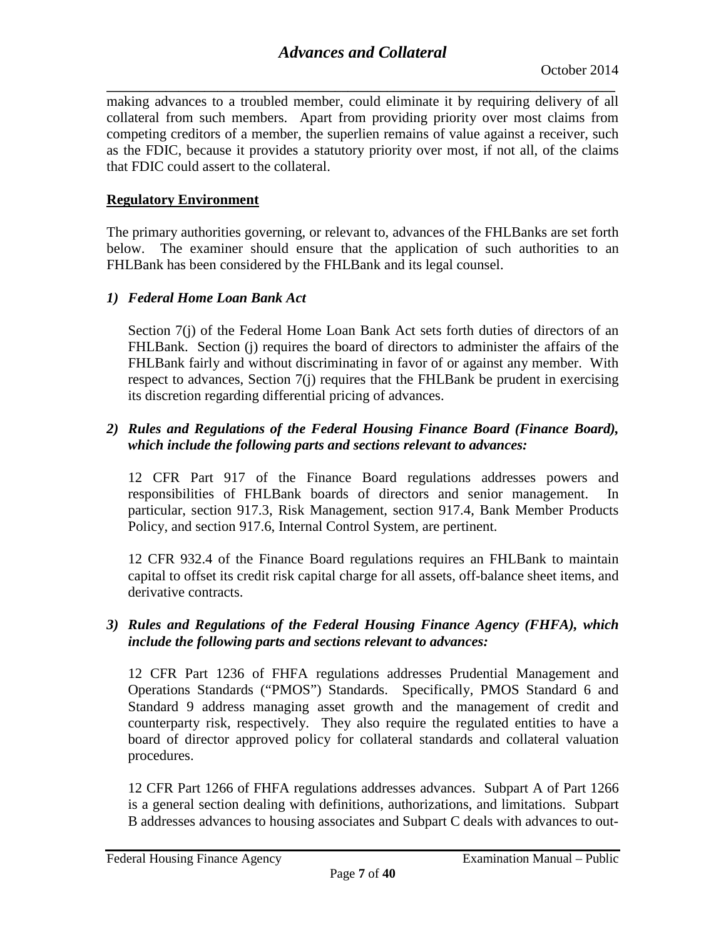**\_\_\_\_\_\_\_\_\_\_\_\_\_\_\_\_\_\_\_\_\_\_\_\_\_\_\_\_\_\_\_\_\_\_\_\_\_\_\_\_\_\_\_\_\_\_\_\_\_\_\_\_\_\_\_\_\_\_\_\_\_\_\_\_\_\_\_\_\_\_\_\_\_\_\_\_\_\_** making advances to a troubled member, could eliminate it by requiring delivery of all collateral from such members. Apart from providing priority over most claims from competing creditors of a member, the superlien remains of value against a receiver, such as the FDIC, because it provides a statutory priority over most, if not all, of the claims that FDIC could assert to the collateral.

## <span id="page-6-0"></span>**Regulatory Environment**

The primary authorities governing, or relevant to, advances of the FHLBanks are set forth below. The examiner should ensure that the application of such authorities to an FHLBank has been considered by the FHLBank and its legal counsel.

## *1) Federal Home Loan Bank Act*

Section 7(j) of the Federal Home Loan Bank Act sets forth duties of directors of an FHLBank. Section (j) requires the board of directors to administer the affairs of the FHLBank fairly and without discriminating in favor of or against any member. With respect to advances, Section 7(j) requires that the FHLBank be prudent in exercising its discretion regarding differential pricing of advances.

## *2) Rules and Regulations of the Federal Housing Finance Board (Finance Board), which include the following parts and sections relevant to advances:*

12 CFR Part 917 of the Finance Board regulations addresses powers and responsibilities of FHLBank boards of directors and senior management. particular, section 917.3, Risk Management, section 917.4, Bank Member Products Policy, and section 917.6, Internal Control System, are pertinent.

12 CFR 932.4 of the Finance Board regulations requires an FHLBank to maintain capital to offset its credit risk capital charge for all assets, off-balance sheet items, and derivative contracts.

## *3) Rules and Regulations of the Federal Housing Finance Agency (FHFA), which include the following parts and sections relevant to advances:*

12 CFR Part 1236 of FHFA regulations addresses Prudential Management and Operations Standards ("PMOS") Standards. Specifically, PMOS Standard 6 and Standard 9 address managing asset growth and the management of credit and counterparty risk, respectively. They also require the regulated entities to have a board of director approved policy for collateral standards and collateral valuation procedures.

12 CFR Part 1266 of FHFA regulations addresses advances. Subpart A of Part 1266 is a general section dealing with definitions, authorizations, and limitations. Subpart B addresses advances to housing associates and Subpart C deals with advances to out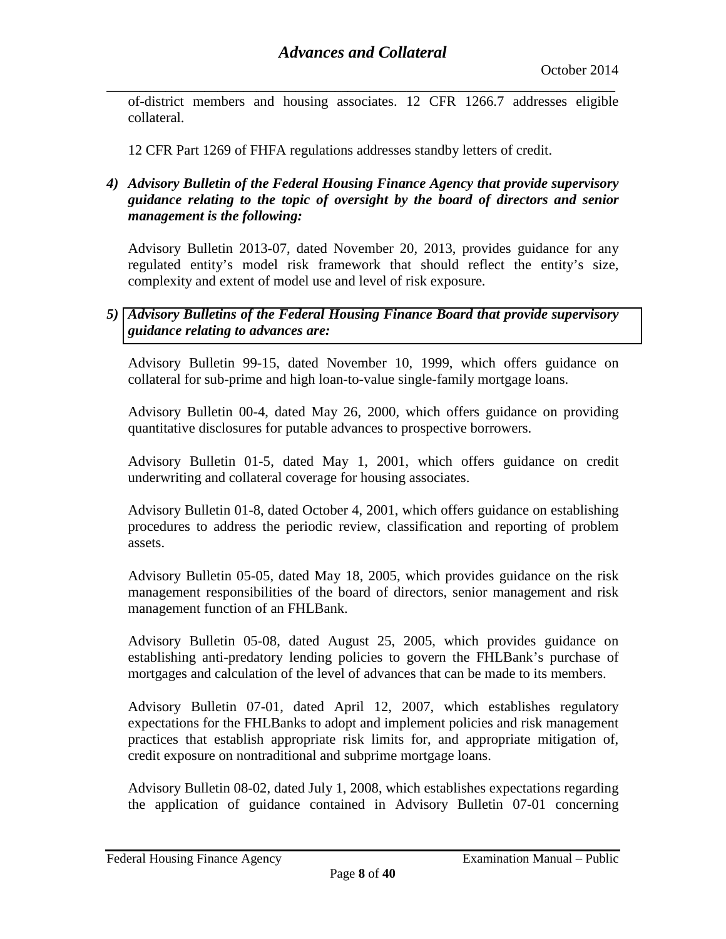**\_\_\_\_\_\_\_\_\_\_\_\_\_\_\_\_\_\_\_\_\_\_\_\_\_\_\_\_\_\_\_\_\_\_\_\_\_\_\_\_\_\_\_\_\_\_\_\_\_\_\_\_\_\_\_\_\_\_\_\_\_\_\_\_\_\_\_\_\_\_\_\_\_\_\_\_\_\_** of-district members and housing associates. 12 CFR 1266.7 addresses eligible collateral.

12 CFR Part 1269 of FHFA regulations addresses standby letters of credit.

## *4) Advisory Bulletin of the Federal Housing Finance Agency that provide supervisory guidance relating to the topic of oversight by the board of directors and senior management is the following:*

Advisory Bulletin 2013-07, dated November 20, 2013, provides guidance for any regulated entity's model risk framework that should reflect the entity's size, complexity and extent of model use and level of risk exposure.

## *5) [Advisory Bulletins of the Federal Housing Finance Board](http://www.fhfa.gov/SupervisionRegulation/AdvisoryBulletins) that provide supervisory guidance relating to advances are:*

Advisory Bulletin 99-15, dated November 10, 1999, which offers guidance on collateral for sub-prime and high loan-to-value single-family mortgage loans.

Advisory Bulletin 00-4, dated May 26, 2000, which offers guidance on providing quantitative disclosures for putable advances to prospective borrowers.

Advisory Bulletin 01-5, dated May 1, 2001, which offers guidance on credit underwriting and collateral coverage for housing associates.

Advisory Bulletin 01-8, dated October 4, 2001, which offers guidance on establishing procedures to address the periodic review, classification and reporting of problem assets.

Advisory Bulletin 05-05, dated May 18, 2005, which provides guidance on the risk management responsibilities of the board of directors, senior management and risk management function of an FHLBank.

Advisory Bulletin 05-08, dated August 25, 2005, which provides guidance on establishing anti-predatory lending policies to govern the FHLBank's purchase of mortgages and calculation of the level of advances that can be made to its members.

Advisory Bulletin 07-01, dated April 12, 2007, which establishes regulatory expectations for the FHLBanks to adopt and implement policies and risk management practices that establish appropriate risk limits for, and appropriate mitigation of, credit exposure on nontraditional and subprime mortgage loans.

Advisory Bulletin 08-02, dated July 1, 2008, which establishes expectations regarding the application of guidance contained in Advisory Bulletin 07-01 concerning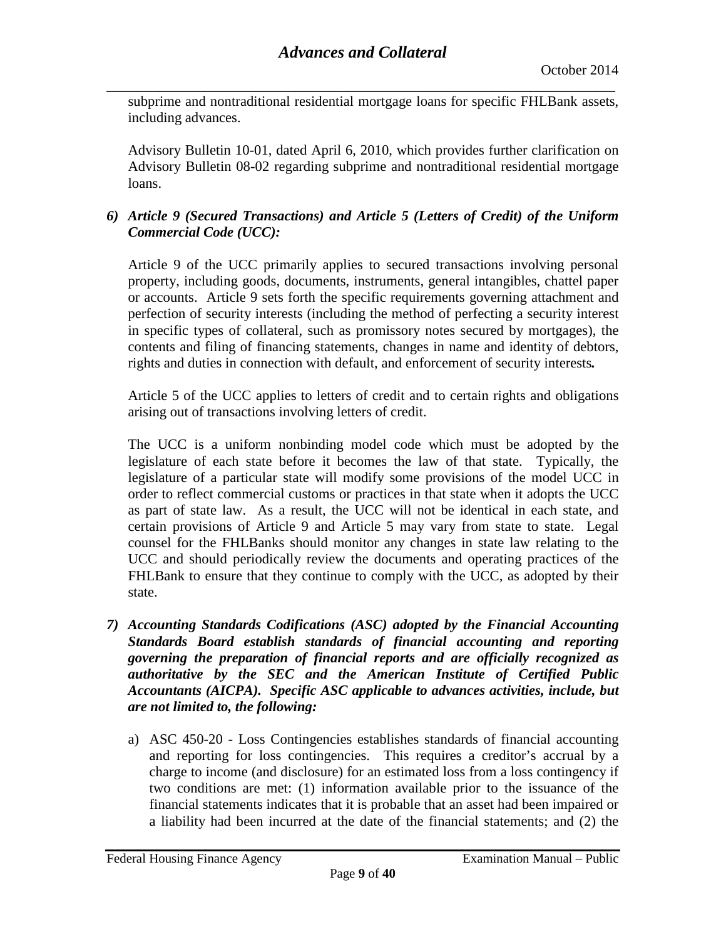**\_\_\_\_\_\_\_\_\_\_\_\_\_\_\_\_\_\_\_\_\_\_\_\_\_\_\_\_\_\_\_\_\_\_\_\_\_\_\_\_\_\_\_\_\_\_\_\_\_\_\_\_\_\_\_\_\_\_\_\_\_\_\_\_\_\_\_\_\_\_\_\_\_\_\_\_\_\_** subprime and nontraditional residential mortgage loans for specific FHLBank assets, including advances.

Advisory Bulletin 10-01, dated April 6, 2010, which provides further clarification on Advisory Bulletin 08-02 regarding subprime and nontraditional residential mortgage loans.

## *6) Article 9 (Secured Transactions) and Article 5 (Letters of Credit) of the Uniform Commercial Code (UCC):*

Article 9 of the UCC primarily applies to secured transactions involving personal property, including goods, documents, instruments, general intangibles, chattel paper or accounts. Article 9 sets forth the specific requirements governing attachment and perfection of security interests (including the method of perfecting a security interest in specific types of collateral, such as promissory notes secured by mortgages), the contents and filing of financing statements, changes in name and identity of debtors, rights and duties in connection with default, and enforcement of security interests*.*

Article 5 of the UCC applies to letters of credit and to certain rights and obligations arising out of transactions involving letters of credit.

The UCC is a uniform nonbinding model code which must be adopted by the legislature of each state before it becomes the law of that state. Typically, the legislature of a particular state will modify some provisions of the model UCC in order to reflect commercial customs or practices in that state when it adopts the UCC as part of state law. As a result, the UCC will not be identical in each state, and certain provisions of Article 9 and Article 5 may vary from state to state. Legal counsel for the FHLBanks should monitor any changes in state law relating to the UCC and should periodically review the documents and operating practices of the FHLBank to ensure that they continue to comply with the UCC, as adopted by their state.

- *7) Accounting Standards Codifications (ASC) adopted by the Financial Accounting Standards Board establish standards of financial accounting and reporting governing the preparation of financial reports and are officially recognized as authoritative by the SEC and the American Institute of Certified Public Accountants (AICPA). Specific ASC applicable to advances activities, include, but are not limited to, the following:*
	- a) ASC 450-20 Loss Contingencies establishes standards of financial accounting and reporting for loss contingencies. This requires a creditor's accrual by a charge to income (and disclosure) for an estimated loss from a loss contingency if two conditions are met: (1) information available prior to the issuance of the financial statements indicates that it is probable that an asset had been impaired or a liability had been incurred at the date of the financial statements; and (2) the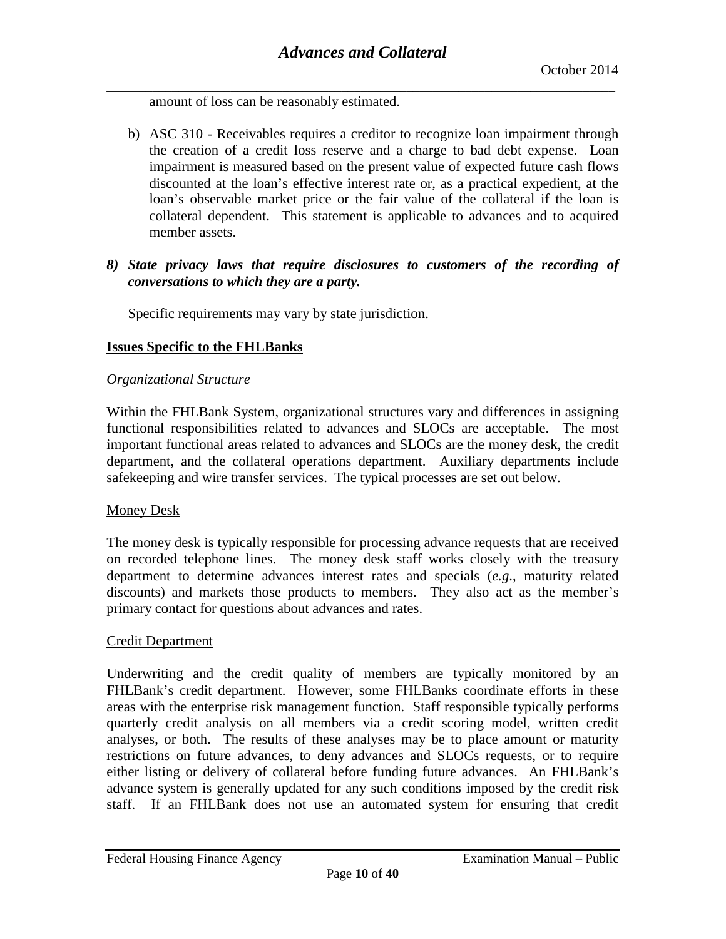**\_\_\_\_\_\_\_\_\_\_\_\_\_\_\_\_\_\_\_\_\_\_\_\_\_\_\_\_\_\_\_\_\_\_\_\_\_\_\_\_\_\_\_\_\_\_\_\_\_\_\_\_\_\_\_\_\_\_\_\_\_\_\_\_\_\_\_\_\_\_\_\_\_\_\_\_\_\_** amount of loss can be reasonably estimated.

- b) ASC 310 Receivables requires a creditor to recognize loan impairment through the creation of a credit loss reserve and a charge to bad debt expense. Loan impairment is measured based on the present value of expected future cash flows discounted at the loan's effective interest rate or, as a practical expedient, at the loan's observable market price or the fair value of the collateral if the loan is collateral dependent. This statement is applicable to advances and to acquired member assets.
- *8) State privacy laws that require disclosures to customers of the recording of conversations to which they are a party.*

Specific requirements may vary by state jurisdiction.

## <span id="page-9-0"></span>**Issues Specific to the FHLBanks**

#### *Organizational Structure*

Within the FHLBank System, organizational structures vary and differences in assigning functional responsibilities related to advances and SLOCs are acceptable. The most important functional areas related to advances and SLOCs are the money desk, the credit department, and the collateral operations department. Auxiliary departments include safekeeping and wire transfer services. The typical processes are set out below.

#### Money Desk

The money desk is typically responsible for processing advance requests that are received on recorded telephone lines. The money desk staff works closely with the treasury department to determine advances interest rates and specials (*e.g*., maturity related discounts) and markets those products to members. They also act as the member's primary contact for questions about advances and rates.

## Credit Department

Underwriting and the credit quality of members are typically monitored by an FHLBank's credit department. However, some FHLBanks coordinate efforts in these areas with the enterprise risk management function. Staff responsible typically performs quarterly credit analysis on all members via a credit scoring model, written credit analyses, or both. The results of these analyses may be to place amount or maturity restrictions on future advances, to deny advances and SLOCs requests, or to require either listing or delivery of collateral before funding future advances. An FHLBank's advance system is generally updated for any such conditions imposed by the credit risk staff. If an FHLBank does not use an automated system for ensuring that credit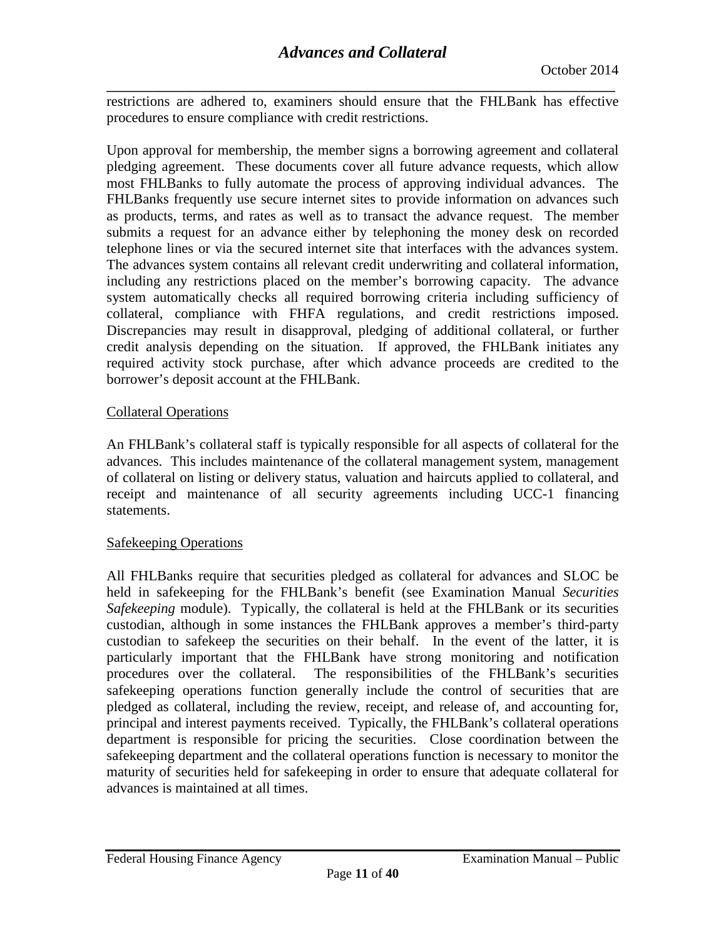**\_\_\_\_\_\_\_\_\_\_\_\_\_\_\_\_\_\_\_\_\_\_\_\_\_\_\_\_\_\_\_\_\_\_\_\_\_\_\_\_\_\_\_\_\_\_\_\_\_\_\_\_\_\_\_\_\_\_\_\_\_\_\_\_\_\_\_\_\_\_\_\_\_\_\_\_\_\_** restrictions are adhered to, examiners should ensure that the FHLBank has effective procedures to ensure compliance with credit restrictions.

Upon approval for membership, the member signs a borrowing agreement and collateral pledging agreement. These documents cover all future advance requests, which allow most FHLBanks to fully automate the process of approving individual advances. The FHLBanks frequently use secure internet sites to provide information on advances such as products, terms, and rates as well as to transact the advance request. The member submits a request for an advance either by telephoning the money desk on recorded telephone lines or via the secured internet site that interfaces with the advances system. The advances system contains all relevant credit underwriting and collateral information, including any restrictions placed on the member's borrowing capacity. The advance system automatically checks all required borrowing criteria including sufficiency of collateral, compliance with FHFA regulations, and credit restrictions imposed. Discrepancies may result in disapproval, pledging of additional collateral, or further credit analysis depending on the situation. If approved, the FHLBank initiates any required activity stock purchase, after which advance proceeds are credited to the borrower's deposit account at the FHLBank.

## Collateral Operations

An FHLBank's collateral staff is typically responsible for all aspects of collateral for the advances. This includes maintenance of the collateral management system, management of collateral on listing or delivery status, valuation and haircuts applied to collateral, and receipt and maintenance of all security agreements including UCC-1 financing statements.

## Safekeeping Operations

All FHLBanks require that securities pledged as collateral for advances and SLOC be held in safekeeping for the FHLBank's benefit (see Examination Manual *Securities Safekeeping* module). Typically, the collateral is held at the FHLBank or its securities custodian, although in some instances the FHLBank approves a member's third-party custodian to safekeep the securities on their behalf. In the event of the latter, it is particularly important that the FHLBank have strong monitoring and notification procedures over the collateral. The responsibilities of the FHLBank's securities safekeeping operations function generally include the control of securities that are pledged as collateral, including the review, receipt, and release of, and accounting for, principal and interest payments received. Typically, the FHLBank's collateral operations department is responsible for pricing the securities. Close coordination between the safekeeping department and the collateral operations function is necessary to monitor the maturity of securities held for safekeeping in order to ensure that adequate collateral for advances is maintained at all times.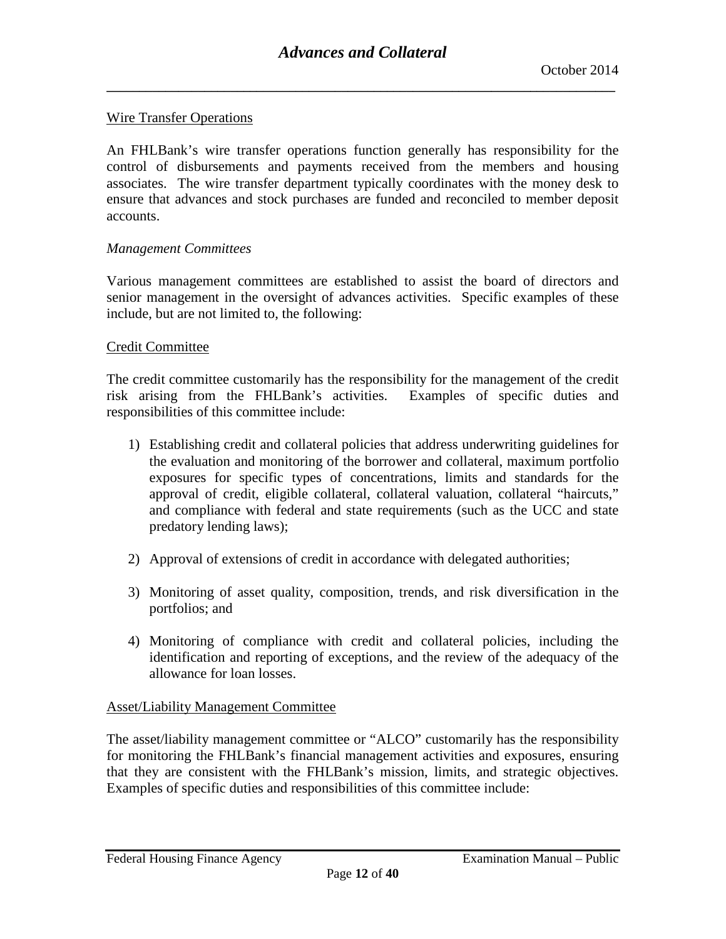#### Wire Transfer Operations

An FHLBank's wire transfer operations function generally has responsibility for the control of disbursements and payments received from the members and housing associates. The wire transfer department typically coordinates with the money desk to ensure that advances and stock purchases are funded and reconciled to member deposit accounts.

#### *Management Committees*

Various management committees are established to assist the board of directors and senior management in the oversight of advances activities. Specific examples of these include, but are not limited to, the following:

#### Credit Committee

The credit committee customarily has the responsibility for the management of the credit risk arising from the FHLBank's activities. Examples of specific duties and responsibilities of this committee include:

- 1) Establishing credit and collateral policies that address underwriting guidelines for the evaluation and monitoring of the borrower and collateral, maximum portfolio exposures for specific types of concentrations, limits and standards for the approval of credit, eligible collateral, collateral valuation, collateral "haircuts," and compliance with federal and state requirements (such as the UCC and state predatory lending laws);
- 2) Approval of extensions of credit in accordance with delegated authorities;
- 3) Monitoring of asset quality, composition, trends, and risk diversification in the portfolios; and
- 4) Monitoring of compliance with credit and collateral policies, including the identification and reporting of exceptions, and the review of the adequacy of the allowance for loan losses.

## Asset/Liability Management Committee

The asset/liability management committee or "ALCO" customarily has the responsibility for monitoring the FHLBank's financial management activities and exposures, ensuring that they are consistent with the FHLBank's mission, limits, and strategic objectives. Examples of specific duties and responsibilities of this committee include: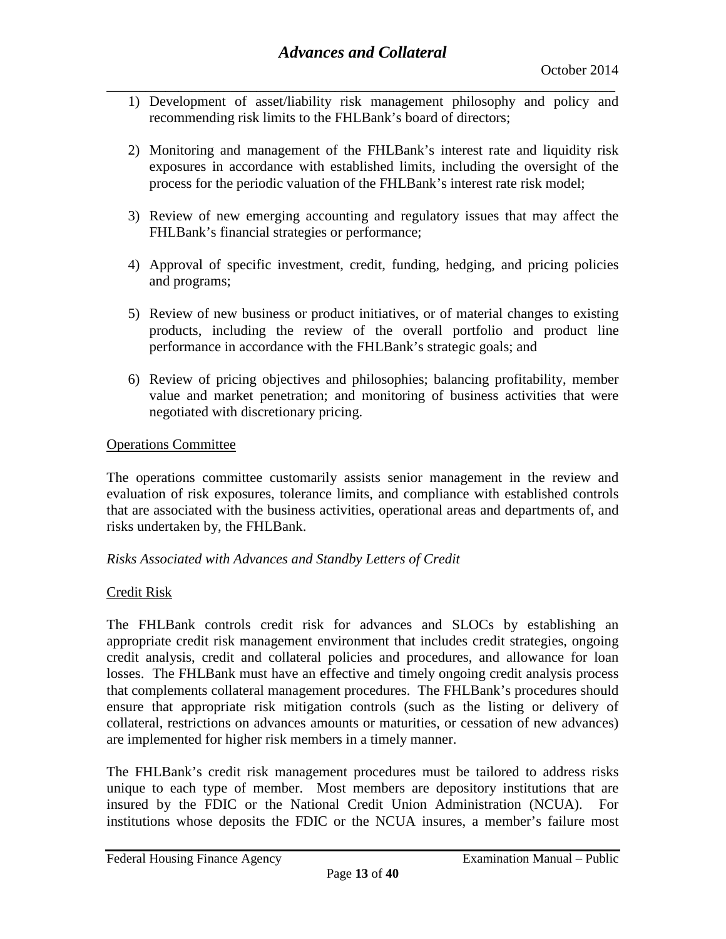- **\_\_\_\_\_\_\_\_\_\_\_\_\_\_\_\_\_\_\_\_\_\_\_\_\_\_\_\_\_\_\_\_\_\_\_\_\_\_\_\_\_\_\_\_\_\_\_\_\_\_\_\_\_\_\_\_\_\_\_\_\_\_\_\_\_\_\_\_\_\_\_\_\_\_\_\_\_\_** 1) Development of asset/liability risk management philosophy and policy and recommending risk limits to the FHLBank's board of directors;
	- 2) Monitoring and management of the FHLBank's interest rate and liquidity risk exposures in accordance with established limits, including the oversight of the process for the periodic valuation of the FHLBank's interest rate risk model;
	- 3) Review of new emerging accounting and regulatory issues that may affect the FHLBank's financial strategies or performance;
	- 4) Approval of specific investment, credit, funding, hedging, and pricing policies and programs;
	- 5) Review of new business or product initiatives, or of material changes to existing products, including the review of the overall portfolio and product line performance in accordance with the FHLBank's strategic goals; and
	- 6) Review of pricing objectives and philosophies; balancing profitability, member value and market penetration; and monitoring of business activities that were negotiated with discretionary pricing.

## Operations Committee

The operations committee customarily assists senior management in the review and evaluation of risk exposures, tolerance limits, and compliance with established controls that are associated with the business activities, operational areas and departments of, and risks undertaken by, the FHLBank.

## *Risks Associated with Advances and Standby Letters of Credit*

#### Credit Risk

The FHLBank controls credit risk for advances and SLOCs by establishing an appropriate credit risk management environment that includes credit strategies, ongoing credit analysis, credit and collateral policies and procedures, and allowance for loan losses. The FHLBank must have an effective and timely ongoing credit analysis process that complements collateral management procedures. The FHLBank's procedures should ensure that appropriate risk mitigation controls (such as the listing or delivery of collateral, restrictions on advances amounts or maturities, or cessation of new advances) are implemented for higher risk members in a timely manner.

The FHLBank's credit risk management procedures must be tailored to address risks unique to each type of member. Most members are depository institutions that are insured by the FDIC or the National Credit Union Administration (NCUA). For institutions whose deposits the FDIC or the NCUA insures, a member's failure most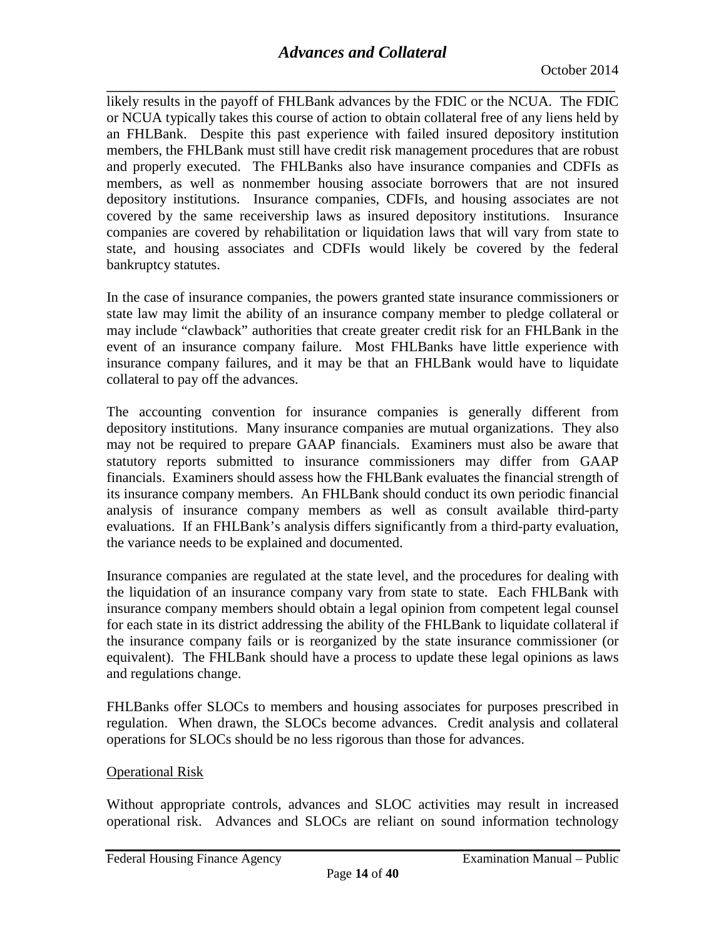**\_\_\_\_\_\_\_\_\_\_\_\_\_\_\_\_\_\_\_\_\_\_\_\_\_\_\_\_\_\_\_\_\_\_\_\_\_\_\_\_\_\_\_\_\_\_\_\_\_\_\_\_\_\_\_\_\_\_\_\_\_\_\_\_\_\_\_\_\_\_\_\_\_\_\_\_\_\_** likely results in the payoff of FHLBank advances by the FDIC or the NCUA. The FDIC or NCUA typically takes this course of action to obtain collateral free of any liens held by an FHLBank. Despite this past experience with failed insured depository institution members, the FHLBank must still have credit risk management procedures that are robust and properly executed. The FHLBanks also have insurance companies and CDFIs as members, as well as nonmember housing associate borrowers that are not insured depository institutions. Insurance companies, CDFIs, and housing associates are not covered by the same receivership laws as insured depository institutions. Insurance companies are covered by rehabilitation or liquidation laws that will vary from state to state, and housing associates and CDFIs would likely be covered by the federal bankruptcy statutes.

In the case of insurance companies, the powers granted state insurance commissioners or state law may limit the ability of an insurance company member to pledge collateral or may include "clawback" authorities that create greater credit risk for an FHLBank in the event of an insurance company failure. Most FHLBanks have little experience with insurance company failures, and it may be that an FHLBank would have to liquidate collateral to pay off the advances.

The accounting convention for insurance companies is generally different from depository institutions. Many insurance companies are mutual organizations. They also may not be required to prepare GAAP financials. Examiners must also be aware that statutory reports submitted to insurance commissioners may differ from GAAP financials. Examiners should assess how the FHLBank evaluates the financial strength of its insurance company members. An FHLBank should conduct its own periodic financial analysis of insurance company members as well as consult available third-party evaluations. If an FHLBank's analysis differs significantly from a third-party evaluation, the variance needs to be explained and documented.

Insurance companies are regulated at the state level, and the procedures for dealing with the liquidation of an insurance company vary from state to state. Each FHLBank with insurance company members should obtain a legal opinion from competent legal counsel for each state in its district addressing the ability of the FHLBank to liquidate collateral if the insurance company fails or is reorganized by the state insurance commissioner (or equivalent). The FHLBank should have a process to update these legal opinions as laws and regulations change.

FHLBanks offer SLOCs to members and housing associates for purposes prescribed in regulation. When drawn, the SLOCs become advances. Credit analysis and collateral operations for SLOCs should be no less rigorous than those for advances.

## Operational Risk

Without appropriate controls, advances and SLOC activities may result in increased operational risk. Advances and SLOCs are reliant on sound information technology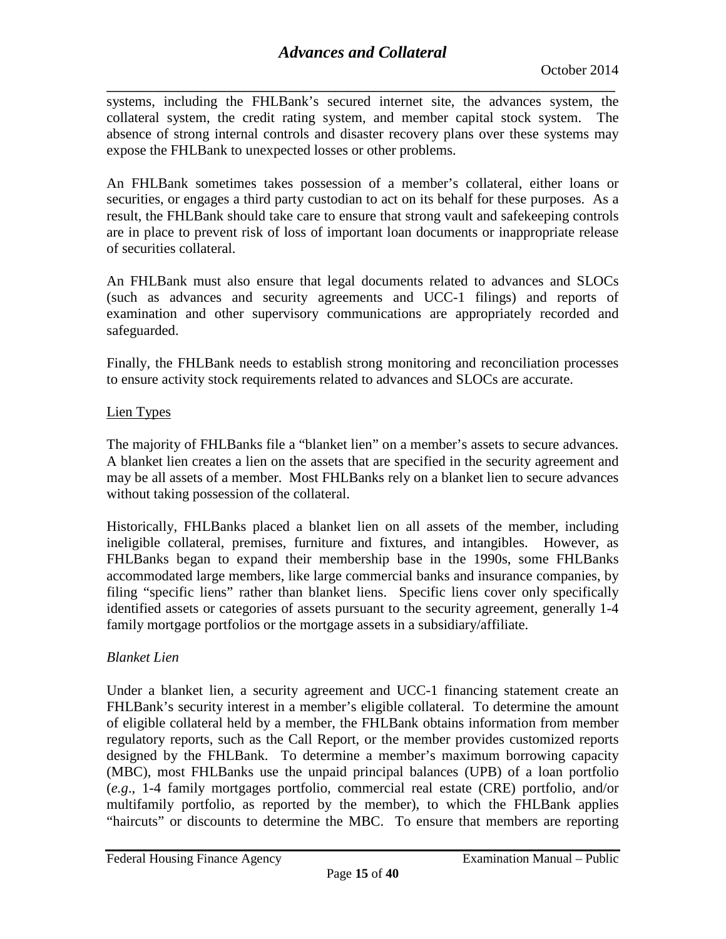**\_\_\_\_\_\_\_\_\_\_\_\_\_\_\_\_\_\_\_\_\_\_\_\_\_\_\_\_\_\_\_\_\_\_\_\_\_\_\_\_\_\_\_\_\_\_\_\_\_\_\_\_\_\_\_\_\_\_\_\_\_\_\_\_\_\_\_\_\_\_\_\_\_\_\_\_\_\_** systems, including the FHLBank's secured internet site, the advances system, the collateral system, the credit rating system, and member capital stock system. The absence of strong internal controls and disaster recovery plans over these systems may expose the FHLBank to unexpected losses or other problems.

An FHLBank sometimes takes possession of a member's collateral, either loans or securities, or engages a third party custodian to act on its behalf for these purposes. As a result, the FHLBank should take care to ensure that strong vault and safekeeping controls are in place to prevent risk of loss of important loan documents or inappropriate release of securities collateral.

An FHLBank must also ensure that legal documents related to advances and SLOCs (such as advances and security agreements and UCC-1 filings) and reports of examination and other supervisory communications are appropriately recorded and safeguarded.

Finally, the FHLBank needs to establish strong monitoring and reconciliation processes to ensure activity stock requirements related to advances and SLOCs are accurate.

## Lien Types

The majority of FHLBanks file a "blanket lien" on a member's assets to secure advances. A blanket lien creates a lien on the assets that are specified in the security agreement and may be all assets of a member. Most FHLBanks rely on a blanket lien to secure advances without taking possession of the collateral.

Historically, FHLBanks placed a blanket lien on all assets of the member, including ineligible collateral, premises, furniture and fixtures, and intangibles. However, as FHLBanks began to expand their membership base in the 1990s, some FHLBanks accommodated large members, like large commercial banks and insurance companies, by filing "specific liens" rather than blanket liens. Specific liens cover only specifically identified assets or categories of assets pursuant to the security agreement, generally 1-4 family mortgage portfolios or the mortgage assets in a subsidiary/affiliate.

## *Blanket Lien*

Under a blanket lien, a security agreement and UCC-1 financing statement create an FHLBank's security interest in a member's eligible collateral. To determine the amount of eligible collateral held by a member, the FHLBank obtains information from member regulatory reports, such as the Call Report, or the member provides customized reports designed by the FHLBank. To determine a member's maximum borrowing capacity (MBC), most FHLBanks use the unpaid principal balances (UPB) of a loan portfolio (*e.g*., 1-4 family mortgages portfolio, commercial real estate (CRE) portfolio, and/or multifamily portfolio, as reported by the member), to which the FHLBank applies "haircuts" or discounts to determine the MBC. To ensure that members are reporting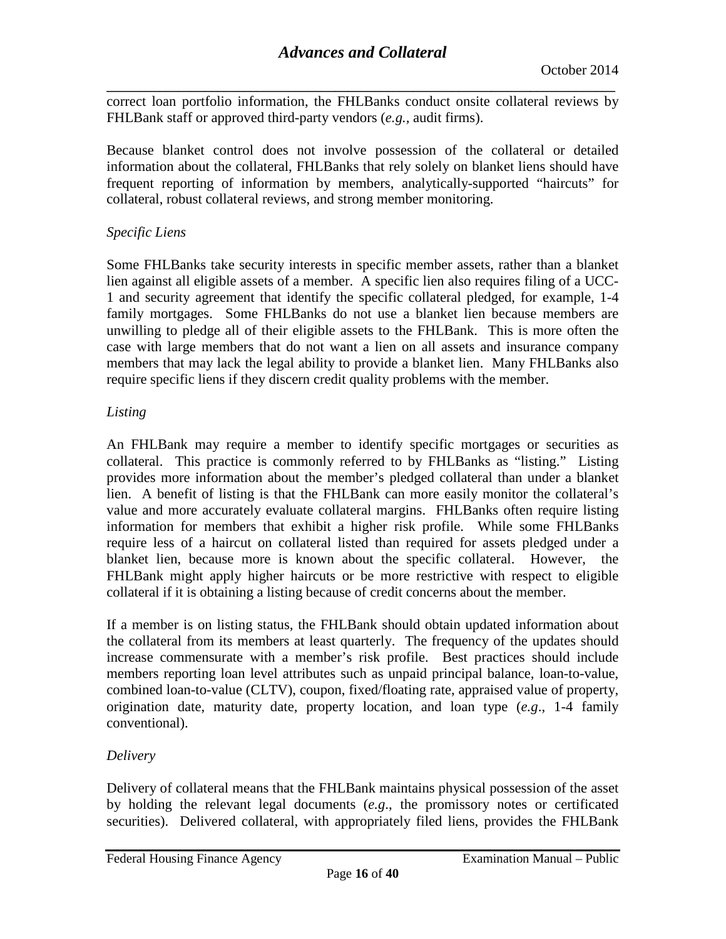**\_\_\_\_\_\_\_\_\_\_\_\_\_\_\_\_\_\_\_\_\_\_\_\_\_\_\_\_\_\_\_\_\_\_\_\_\_\_\_\_\_\_\_\_\_\_\_\_\_\_\_\_\_\_\_\_\_\_\_\_\_\_\_\_\_\_\_\_\_\_\_\_\_\_\_\_\_\_** correct loan portfolio information, the FHLBanks conduct onsite collateral reviews by FHLBank staff or approved third-party vendors (*e.g.,* audit firms).

Because blanket control does not involve possession of the collateral or detailed information about the collateral, FHLBanks that rely solely on blanket liens should have frequent reporting of information by members, analytically-supported "haircuts" for collateral, robust collateral reviews, and strong member monitoring.

## *Specific Liens*

Some FHLBanks take security interests in specific member assets, rather than a blanket lien against all eligible assets of a member. A specific lien also requires filing of a UCC-1 and security agreement that identify the specific collateral pledged, for example, 1-4 family mortgages. Some FHLBanks do not use a blanket lien because members are unwilling to pledge all of their eligible assets to the FHLBank. This is more often the case with large members that do not want a lien on all assets and insurance company members that may lack the legal ability to provide a blanket lien. Many FHLBanks also require specific liens if they discern credit quality problems with the member.

## *Listing*

An FHLBank may require a member to identify specific mortgages or securities as collateral. This practice is commonly referred to by FHLBanks as "listing." Listing provides more information about the member's pledged collateral than under a blanket lien. A benefit of listing is that the FHLBank can more easily monitor the collateral's value and more accurately evaluate collateral margins. FHLBanks often require listing information for members that exhibit a higher risk profile. While some FHLBanks require less of a haircut on collateral listed than required for assets pledged under a blanket lien, because more is known about the specific collateral. However, the FHLBank might apply higher haircuts or be more restrictive with respect to eligible collateral if it is obtaining a listing because of credit concerns about the member.

If a member is on listing status, the FHLBank should obtain updated information about the collateral from its members at least quarterly. The frequency of the updates should increase commensurate with a member's risk profile. Best practices should include members reporting loan level attributes such as unpaid principal balance, loan-to-value, combined loan-to-value (CLTV), coupon, fixed/floating rate, appraised value of property, origination date, maturity date, property location, and loan type (*e.g*., 1-4 family conventional).

## *Delivery*

Delivery of collateral means that the FHLBank maintains physical possession of the asset by holding the relevant legal documents (*e.g*., the promissory notes or certificated securities). Delivered collateral, with appropriately filed liens, provides the FHLBank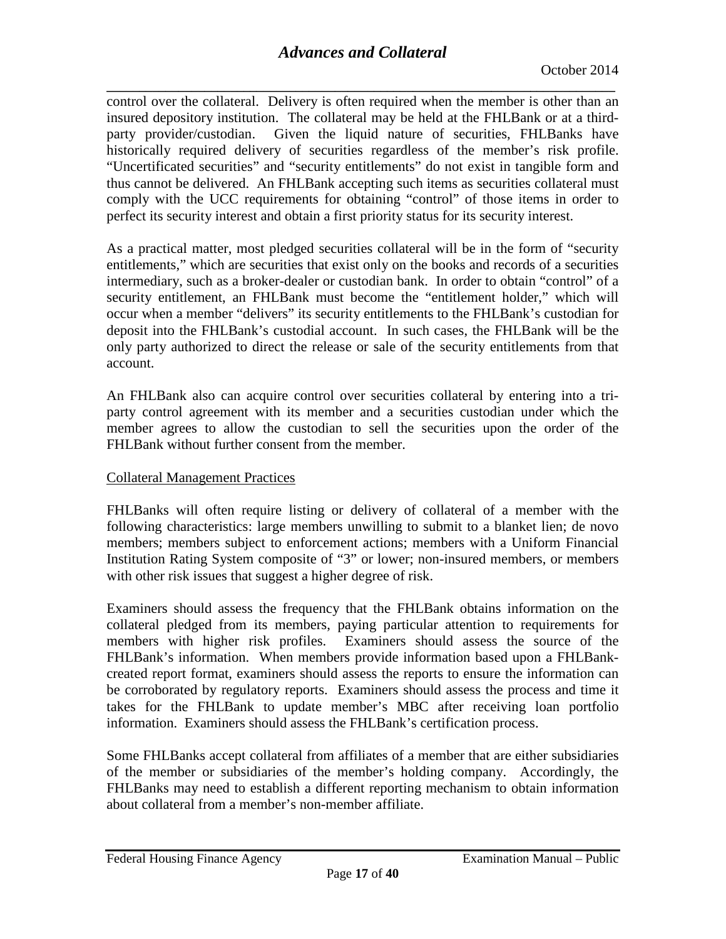**\_\_\_\_\_\_\_\_\_\_\_\_\_\_\_\_\_\_\_\_\_\_\_\_\_\_\_\_\_\_\_\_\_\_\_\_\_\_\_\_\_\_\_\_\_\_\_\_\_\_\_\_\_\_\_\_\_\_\_\_\_\_\_\_\_\_\_\_\_\_\_\_\_\_\_\_\_\_** control over the collateral. Delivery is often required when the member is other than an insured depository institution. The collateral may be held at the FHLBank or at a thirdparty provider/custodian. Given the liquid nature of securities, FHLBanks have historically required delivery of securities regardless of the member's risk profile. "Uncertificated securities" and "security entitlements" do not exist in tangible form and thus cannot be delivered. An FHLBank accepting such items as securities collateral must comply with the UCC requirements for obtaining "control" of those items in order to perfect its security interest and obtain a first priority status for its security interest.

As a practical matter, most pledged securities collateral will be in the form of "security entitlements," which are securities that exist only on the books and records of a securities intermediary, such as a broker-dealer or custodian bank. In order to obtain "control" of a security entitlement, an FHLBank must become the "entitlement holder," which will occur when a member "delivers" its security entitlements to the FHLBank's custodian for deposit into the FHLBank's custodial account. In such cases, the FHLBank will be the only party authorized to direct the release or sale of the security entitlements from that account.

An FHLBank also can acquire control over securities collateral by entering into a triparty control agreement with its member and a securities custodian under which the member agrees to allow the custodian to sell the securities upon the order of the FHLBank without further consent from the member.

## Collateral Management Practices

FHLBanks will often require listing or delivery of collateral of a member with the following characteristics: large members unwilling to submit to a blanket lien; de novo members; members subject to enforcement actions; members with a Uniform Financial Institution Rating System composite of "3" or lower; non-insured members, or members with other risk issues that suggest a higher degree of risk.

Examiners should assess the frequency that the FHLBank obtains information on the collateral pledged from its members, paying particular attention to requirements for members with higher risk profiles. Examiners should assess the source of the FHLBank's information. When members provide information based upon a FHLBankcreated report format, examiners should assess the reports to ensure the information can be corroborated by regulatory reports. Examiners should assess the process and time it takes for the FHLBank to update member's MBC after receiving loan portfolio information. Examiners should assess the FHLBank's certification process.

Some FHLBanks accept collateral from affiliates of a member that are either subsidiaries of the member or subsidiaries of the member's holding company. Accordingly, the FHLBanks may need to establish a different reporting mechanism to obtain information about collateral from a member's non-member affiliate.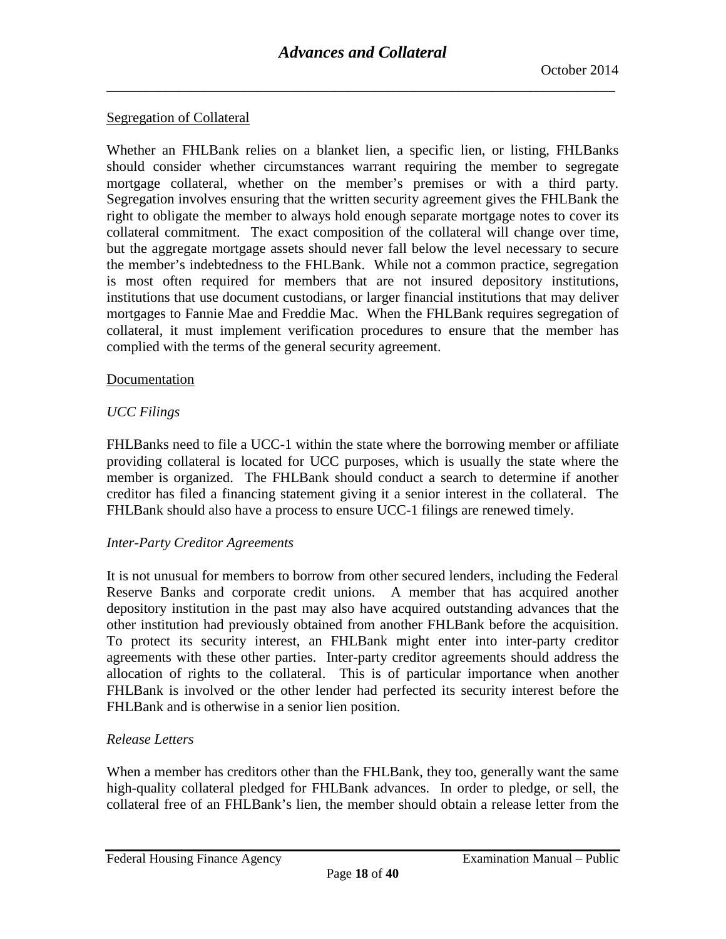#### Segregation of Collateral

Whether an FHLBank relies on a blanket lien, a specific lien, or listing, FHLBanks should consider whether circumstances warrant requiring the member to segregate mortgage collateral, whether on the member's premises or with a third party. Segregation involves ensuring that the written security agreement gives the FHLBank the right to obligate the member to always hold enough separate mortgage notes to cover its collateral commitment. The exact composition of the collateral will change over time, but the aggregate mortgage assets should never fall below the level necessary to secure the member's indebtedness to the FHLBank. While not a common practice, segregation is most often required for members that are not insured depository institutions, institutions that use document custodians, or larger financial institutions that may deliver mortgages to Fannie Mae and Freddie Mac. When the FHLBank requires segregation of collateral, it must implement verification procedures to ensure that the member has complied with the terms of the general security agreement.

#### Documentation

## *UCC Filings*

FHLBanks need to file a UCC-1 within the state where the borrowing member or affiliate providing collateral is located for UCC purposes, which is usually the state where the member is organized. The FHLBank should conduct a search to determine if another creditor has filed a financing statement giving it a senior interest in the collateral. The FHLBank should also have a process to ensure UCC-1 filings are renewed timely.

## *Inter-Party Creditor Agreements*

It is not unusual for members to borrow from other secured lenders, including the Federal Reserve Banks and corporate credit unions. A member that has acquired another depository institution in the past may also have acquired outstanding advances that the other institution had previously obtained from another FHLBank before the acquisition. To protect its security interest, an FHLBank might enter into inter-party creditor agreements with these other parties. Inter-party creditor agreements should address the allocation of rights to the collateral. This is of particular importance when another FHLBank is involved or the other lender had perfected its security interest before the FHLBank and is otherwise in a senior lien position.

## *Release Letters*

When a member has creditors other than the FHLBank, they too, generally want the same high-quality collateral pledged for FHLBank advances. In order to pledge, or sell, the collateral free of an FHLBank's lien, the member should obtain a release letter from the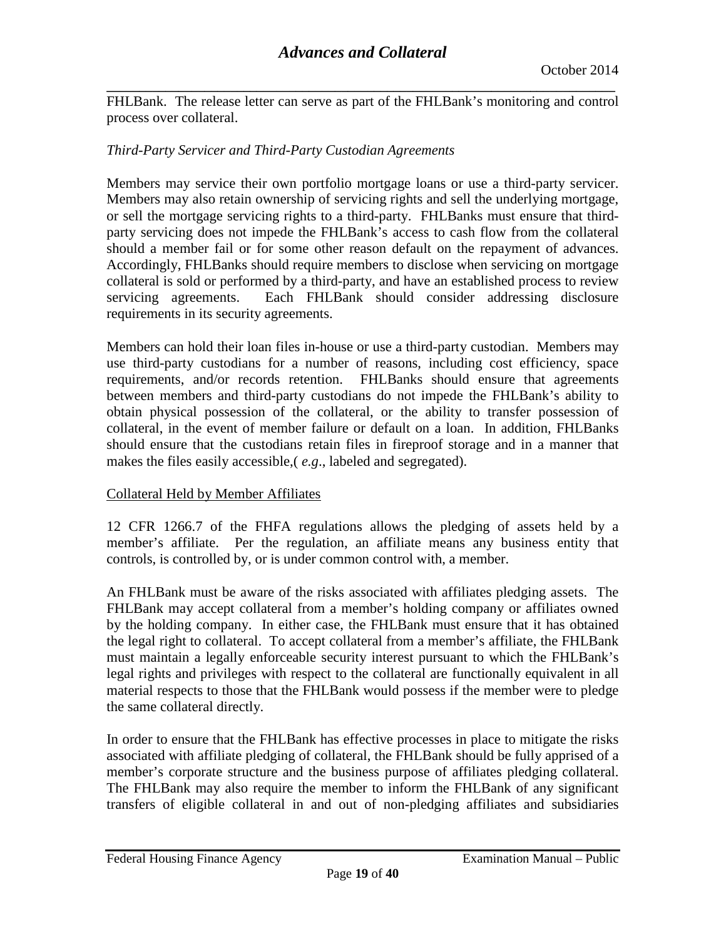**\_\_\_\_\_\_\_\_\_\_\_\_\_\_\_\_\_\_\_\_\_\_\_\_\_\_\_\_\_\_\_\_\_\_\_\_\_\_\_\_\_\_\_\_\_\_\_\_\_\_\_\_\_\_\_\_\_\_\_\_\_\_\_\_\_\_\_\_\_\_\_\_\_\_\_\_\_\_** FHLBank. The release letter can serve as part of the FHLBank's monitoring and control process over collateral.

## *Third-Party Servicer and Third-Party Custodian Agreements*

Members may service their own portfolio mortgage loans or use a third-party servicer. Members may also retain ownership of servicing rights and sell the underlying mortgage, or sell the mortgage servicing rights to a third-party. FHLBanks must ensure that thirdparty servicing does not impede the FHLBank's access to cash flow from the collateral should a member fail or for some other reason default on the repayment of advances. Accordingly, FHLBanks should require members to disclose when servicing on mortgage collateral is sold or performed by a third-party, and have an established process to review servicing agreements. Each FHLBank should consider addressing disclosure requirements in its security agreements.

Members can hold their loan files in-house or use a third-party custodian. Members may use third-party custodians for a number of reasons, including cost efficiency, space requirements, and/or records retention. FHLBanks should ensure that agreements between members and third-party custodians do not impede the FHLBank's ability to obtain physical possession of the collateral, or the ability to transfer possession of collateral, in the event of member failure or default on a loan. In addition, FHLBanks should ensure that the custodians retain files in fireproof storage and in a manner that makes the files easily accessible,( *e.g*., labeled and segregated).

## Collateral Held by Member Affiliates

12 CFR 1266.7 of the FHFA regulations allows the pledging of assets held by a member's affiliate. Per the regulation, an affiliate means any business entity that controls, is controlled by, or is under common control with, a member.

An FHLBank must be aware of the risks associated with affiliates pledging assets. The FHLBank may accept collateral from a member's holding company or affiliates owned by the holding company. In either case, the FHLBank must ensure that it has obtained the legal right to collateral. To accept collateral from a member's affiliate, the FHLBank must maintain a legally enforceable security interest pursuant to which the FHLBank's legal rights and privileges with respect to the collateral are functionally equivalent in all material respects to those that the FHLBank would possess if the member were to pledge the same collateral directly.

In order to ensure that the FHLBank has effective processes in place to mitigate the risks associated with affiliate pledging of collateral, the FHLBank should be fully apprised of a member's corporate structure and the business purpose of affiliates pledging collateral. The FHLBank may also require the member to inform the FHLBank of any significant transfers of eligible collateral in and out of non-pledging affiliates and subsidiaries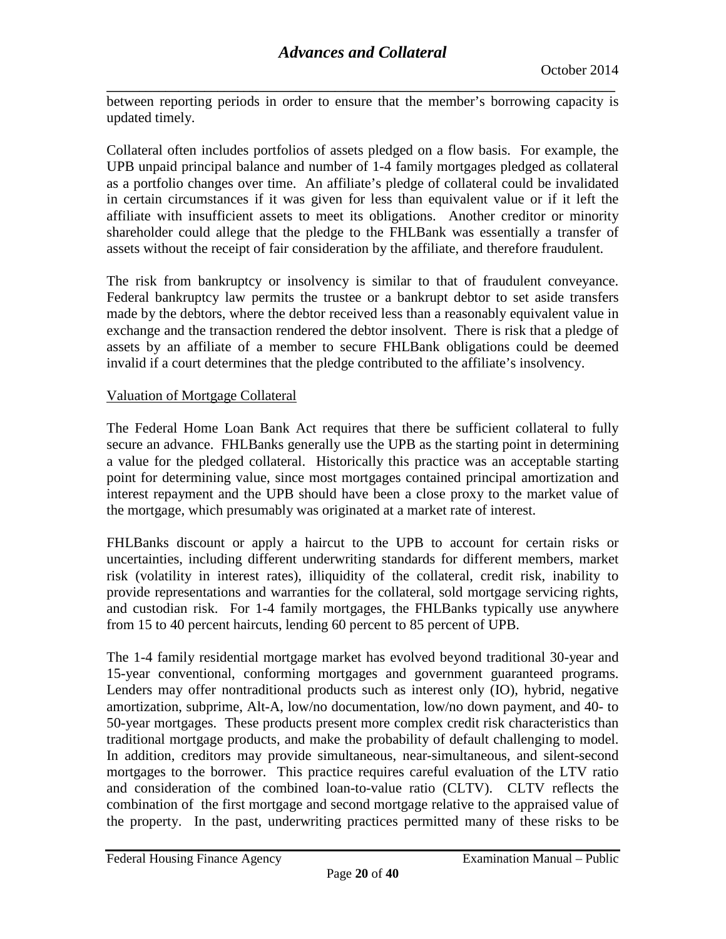**\_\_\_\_\_\_\_\_\_\_\_\_\_\_\_\_\_\_\_\_\_\_\_\_\_\_\_\_\_\_\_\_\_\_\_\_\_\_\_\_\_\_\_\_\_\_\_\_\_\_\_\_\_\_\_\_\_\_\_\_\_\_\_\_\_\_\_\_\_\_\_\_\_\_\_\_\_\_** between reporting periods in order to ensure that the member's borrowing capacity is updated timely.

Collateral often includes portfolios of assets pledged on a flow basis. For example, the UPB unpaid principal balance and number of 1-4 family mortgages pledged as collateral as a portfolio changes over time. An affiliate's pledge of collateral could be invalidated in certain circumstances if it was given for less than equivalent value or if it left the affiliate with insufficient assets to meet its obligations. Another creditor or minority shareholder could allege that the pledge to the FHLBank was essentially a transfer of assets without the receipt of fair consideration by the affiliate, and therefore fraudulent.

The risk from bankruptcy or insolvency is similar to that of fraudulent conveyance. Federal bankruptcy law permits the trustee or a bankrupt debtor to set aside transfers made by the debtors, where the debtor received less than a reasonably equivalent value in exchange and the transaction rendered the debtor insolvent. There is risk that a pledge of assets by an affiliate of a member to secure FHLBank obligations could be deemed invalid if a court determines that the pledge contributed to the affiliate's insolvency.

## Valuation of Mortgage Collateral

The Federal Home Loan Bank Act requires that there be sufficient collateral to fully secure an advance. FHLBanks generally use the UPB as the starting point in determining a value for the pledged collateral. Historically this practice was an acceptable starting point for determining value, since most mortgages contained principal amortization and interest repayment and the UPB should have been a close proxy to the market value of the mortgage, which presumably was originated at a market rate of interest.

FHLBanks discount or apply a haircut to the UPB to account for certain risks or uncertainties, including different underwriting standards for different members, market risk (volatility in interest rates), illiquidity of the collateral, credit risk, inability to provide representations and warranties for the collateral, sold mortgage servicing rights, and custodian risk. For 1-4 family mortgages, the FHLBanks typically use anywhere from 15 to 40 percent haircuts, lending 60 percent to 85 percent of UPB.

The 1-4 family residential mortgage market has evolved beyond traditional 30-year and 15-year conventional, conforming mortgages and government guaranteed programs. Lenders may offer nontraditional products such as interest only (IO), hybrid, negative amortization, subprime, Alt-A, low/no documentation, low/no down payment, and 40- to 50-year mortgages. These products present more complex credit risk characteristics than traditional mortgage products, and make the probability of default challenging to model. In addition, creditors may provide simultaneous, near-simultaneous, and silent-second mortgages to the borrower. This practice requires careful evaluation of the LTV ratio and consideration of the combined loan-to-value ratio (CLTV). CLTV reflects the combination of the first mortgage and second mortgage relative to the appraised value of the property. In the past, underwriting practices permitted many of these risks to be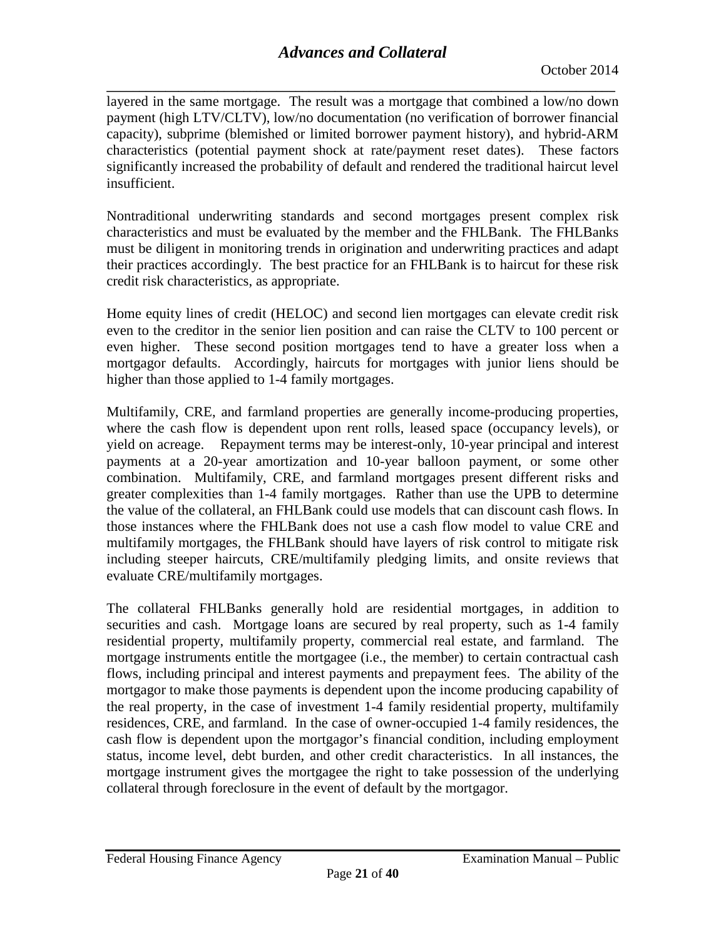**\_\_\_\_\_\_\_\_\_\_\_\_\_\_\_\_\_\_\_\_\_\_\_\_\_\_\_\_\_\_\_\_\_\_\_\_\_\_\_\_\_\_\_\_\_\_\_\_\_\_\_\_\_\_\_\_\_\_\_\_\_\_\_\_\_\_\_\_\_\_\_\_\_\_\_\_\_\_** layered in the same mortgage. The result was a mortgage that combined a low/no down payment (high LTV/CLTV), low/no documentation (no verification of borrower financial capacity), subprime (blemished or limited borrower payment history), and hybrid-ARM characteristics (potential payment shock at rate/payment reset dates). These factors significantly increased the probability of default and rendered the traditional haircut level insufficient.

Nontraditional underwriting standards and second mortgages present complex risk characteristics and must be evaluated by the member and the FHLBank. The FHLBanks must be diligent in monitoring trends in origination and underwriting practices and adapt their practices accordingly. The best practice for an FHLBank is to haircut for these risk credit risk characteristics, as appropriate.

Home equity lines of credit (HELOC) and second lien mortgages can elevate credit risk even to the creditor in the senior lien position and can raise the CLTV to 100 percent or even higher. These second position mortgages tend to have a greater loss when a mortgagor defaults. Accordingly, haircuts for mortgages with junior liens should be higher than those applied to 1-4 family mortgages.

Multifamily, CRE, and farmland properties are generally income-producing properties, where the cash flow is dependent upon rent rolls, leased space (occupancy levels), or yield on acreage. Repayment terms may be interest-only, 10-year principal and interest payments at a 20-year amortization and 10-year balloon payment, or some other combination. Multifamily, CRE, and farmland mortgages present different risks and greater complexities than 1-4 family mortgages. Rather than use the UPB to determine the value of the collateral, an FHLBank could use models that can discount cash flows. In those instances where the FHLBank does not use a cash flow model to value CRE and multifamily mortgages, the FHLBank should have layers of risk control to mitigate risk including steeper haircuts, CRE/multifamily pledging limits, and onsite reviews that evaluate CRE/multifamily mortgages.

The collateral FHLBanks generally hold are residential mortgages, in addition to securities and cash. Mortgage loans are secured by real property, such as 1-4 family residential property, multifamily property, commercial real estate, and farmland. The mortgage instruments entitle the mortgagee (i.e., the member) to certain contractual cash flows, including principal and interest payments and prepayment fees. The ability of the mortgagor to make those payments is dependent upon the income producing capability of the real property, in the case of investment 1-4 family residential property, multifamily residences, CRE, and farmland. In the case of owner-occupied 1-4 family residences, the cash flow is dependent upon the mortgagor's financial condition, including employment status, income level, debt burden, and other credit characteristics. In all instances, the mortgage instrument gives the mortgagee the right to take possession of the underlying collateral through foreclosure in the event of default by the mortgagor.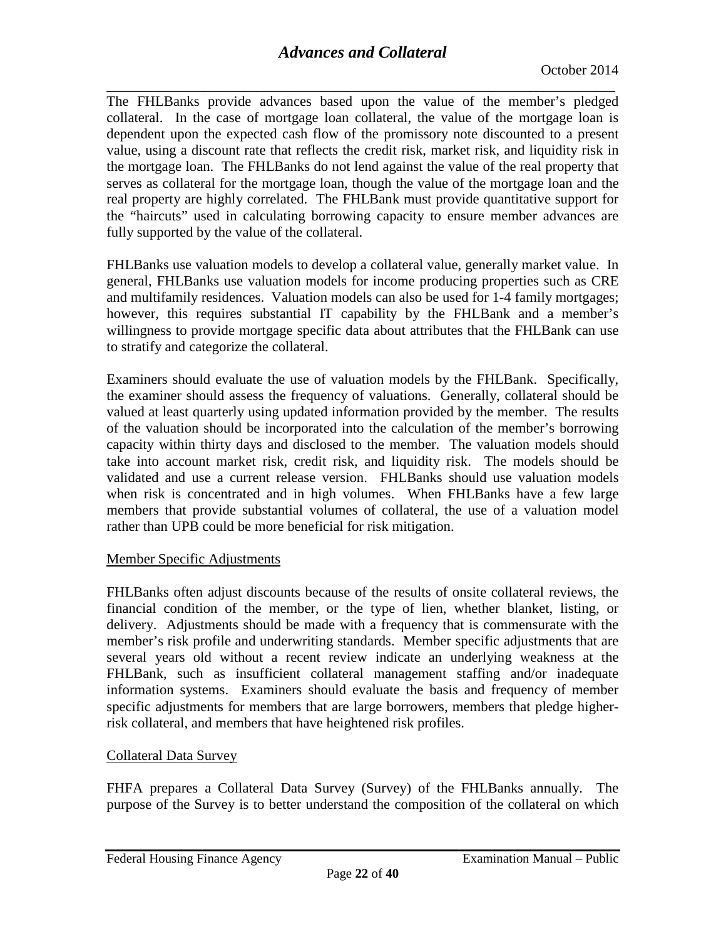**\_\_\_\_\_\_\_\_\_\_\_\_\_\_\_\_\_\_\_\_\_\_\_\_\_\_\_\_\_\_\_\_\_\_\_\_\_\_\_\_\_\_\_\_\_\_\_\_\_\_\_\_\_\_\_\_\_\_\_\_\_\_\_\_\_\_\_\_\_\_\_\_\_\_\_\_\_\_** The FHLBanks provide advances based upon the value of the member's pledged collateral. In the case of mortgage loan collateral, the value of the mortgage loan is dependent upon the expected cash flow of the promissory note discounted to a present value, using a discount rate that reflects the credit risk, market risk, and liquidity risk in the mortgage loan. The FHLBanks do not lend against the value of the real property that serves as collateral for the mortgage loan, though the value of the mortgage loan and the real property are highly correlated. The FHLBank must provide quantitative support for the "haircuts" used in calculating borrowing capacity to ensure member advances are fully supported by the value of the collateral.

FHLBanks use valuation models to develop a collateral value, generally market value. In general, FHLBanks use valuation models for income producing properties such as CRE and multifamily residences. Valuation models can also be used for 1-4 family mortgages; however, this requires substantial IT capability by the FHLBank and a member's willingness to provide mortgage specific data about attributes that the FHLBank can use to stratify and categorize the collateral.

Examiners should evaluate the use of valuation models by the FHLBank. Specifically, the examiner should assess the frequency of valuations. Generally, collateral should be valued at least quarterly using updated information provided by the member. The results of the valuation should be incorporated into the calculation of the member's borrowing capacity within thirty days and disclosed to the member. The valuation models should take into account market risk, credit risk, and liquidity risk. The models should be validated and use a current release version. FHLBanks should use valuation models when risk is concentrated and in high volumes. When FHLBanks have a few large members that provide substantial volumes of collateral, the use of a valuation model rather than UPB could be more beneficial for risk mitigation.

## Member Specific Adjustments

FHLBanks often adjust discounts because of the results of onsite collateral reviews, the financial condition of the member, or the type of lien, whether blanket, listing, or delivery. Adjustments should be made with a frequency that is commensurate with the member's risk profile and underwriting standards. Member specific adjustments that are several years old without a recent review indicate an underlying weakness at the FHLBank, such as insufficient collateral management staffing and/or inadequate information systems. Examiners should evaluate the basis and frequency of member specific adjustments for members that are large borrowers, members that pledge higherrisk collateral, and members that have heightened risk profiles.

## Collateral Data Survey

FHFA prepares a Collateral Data Survey (Survey) of the FHLBanks annually. The purpose of the Survey is to better understand the composition of the collateral on which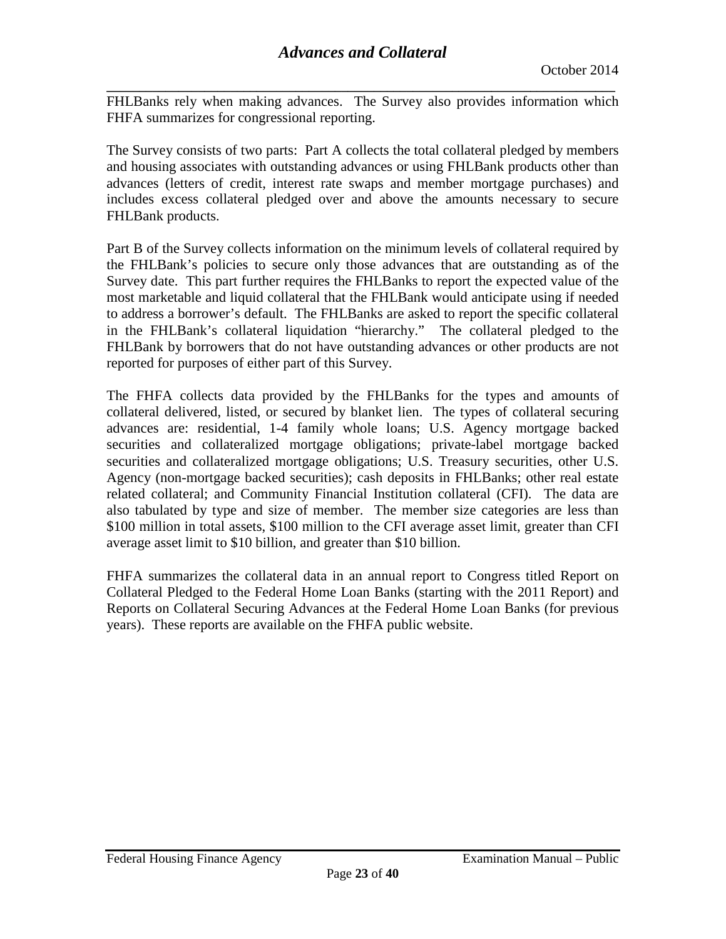**\_\_\_\_\_\_\_\_\_\_\_\_\_\_\_\_\_\_\_\_\_\_\_\_\_\_\_\_\_\_\_\_\_\_\_\_\_\_\_\_\_\_\_\_\_\_\_\_\_\_\_\_\_\_\_\_\_\_\_\_\_\_\_\_\_\_\_\_\_\_\_\_\_\_\_\_\_\_** FHLBanks rely when making advances. The Survey also provides information which FHFA summarizes for congressional reporting.

The Survey consists of two parts: Part A collects the total collateral pledged by members and housing associates with outstanding advances or using FHLBank products other than advances (letters of credit, interest rate swaps and member mortgage purchases) and includes excess collateral pledged over and above the amounts necessary to secure FHLBank products.

Part B of the Survey collects information on the minimum levels of collateral required by the FHLBank's policies to secure only those advances that are outstanding as of the Survey date. This part further requires the FHLBanks to report the expected value of the most marketable and liquid collateral that the FHLBank would anticipate using if needed to address a borrower's default. The FHLBanks are asked to report the specific collateral in the FHLBank's collateral liquidation "hierarchy." The collateral pledged to the FHLBank by borrowers that do not have outstanding advances or other products are not reported for purposes of either part of this Survey.

The FHFA collects data provided by the FHLBanks for the types and amounts of collateral delivered, listed, or secured by blanket lien. The types of collateral securing advances are: residential, 1-4 family whole loans; U.S. Agency mortgage backed securities and collateralized mortgage obligations; private-label mortgage backed securities and collateralized mortgage obligations; U.S. Treasury securities, other U.S. Agency (non-mortgage backed securities); cash deposits in FHLBanks; other real estate related collateral; and Community Financial Institution collateral (CFI). The data are also tabulated by type and size of member. The member size categories are less than \$100 million in total assets, \$100 million to the CFI average asset limit, greater than CFI average asset limit to \$10 billion, and greater than \$10 billion.

FHFA summarizes the collateral data in an annual report to Congress titled Report on Collateral Pledged to the Federal Home Loan Banks (starting with the 2011 Report) and Reports on Collateral Securing Advances at the Federal Home Loan Banks (for previous years). These reports are available on the FHFA public website.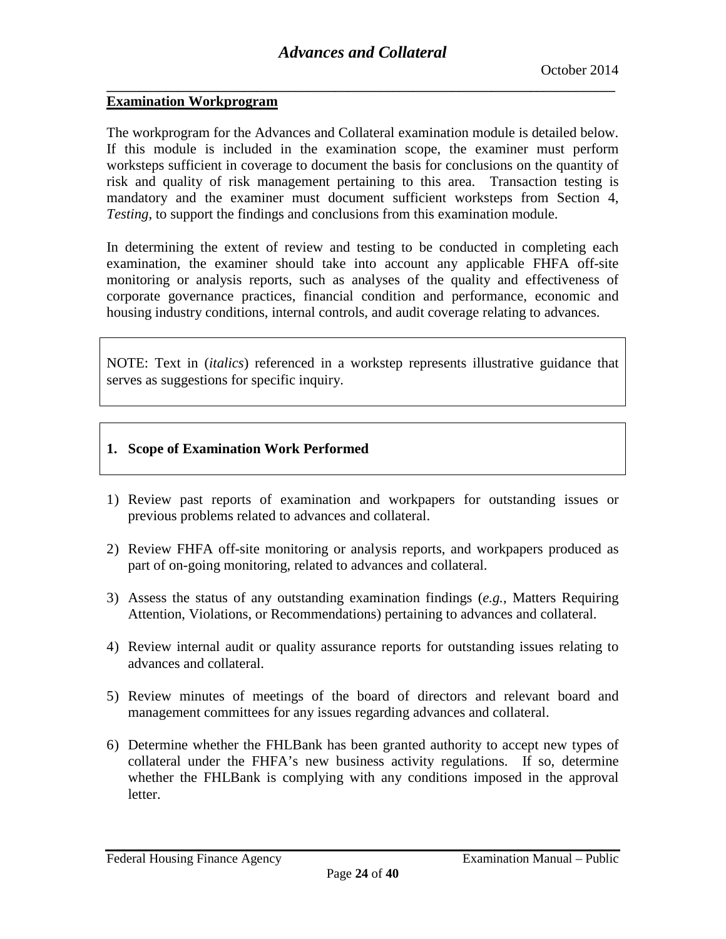## <span id="page-23-0"></span>**Examination Workprogram**

The workprogram for the Advances and Collateral examination module is detailed below. If this module is included in the examination scope, the examiner must perform worksteps sufficient in coverage to document the basis for conclusions on the quantity of risk and quality of risk management pertaining to this area. Transaction testing is mandatory and the examiner must document sufficient worksteps from Section 4, *Testing*, to support the findings and conclusions from this examination module.

In determining the extent of review and testing to be conducted in completing each examination, the examiner should take into account any applicable FHFA off-site monitoring or analysis reports, such as analyses of the quality and effectiveness of corporate governance practices, financial condition and performance, economic and housing industry conditions, internal controls, and audit coverage relating to advances.

NOTE: Text in (*italics*) referenced in a workstep represents illustrative guidance that serves as suggestions for specific inquiry.

## **1. Scope of Examination Work Performed**

- 1) Review past reports of examination and workpapers for outstanding issues or previous problems related to advances and collateral.
- 2) Review FHFA off-site monitoring or analysis reports, and workpapers produced as part of on-going monitoring, related to advances and collateral.
- 3) Assess the status of any outstanding examination findings (*e.g.*, Matters Requiring Attention, Violations, or Recommendations) pertaining to advances and collateral.
- 4) Review internal audit or quality assurance reports for outstanding issues relating to advances and collateral.
- 5) Review minutes of meetings of the board of directors and relevant board and management committees for any issues regarding advances and collateral.
- 6) Determine whether the FHLBank has been granted authority to accept new types of collateral under the FHFA's new business activity regulations. If so, determine whether the FHLBank is complying with any conditions imposed in the approval letter.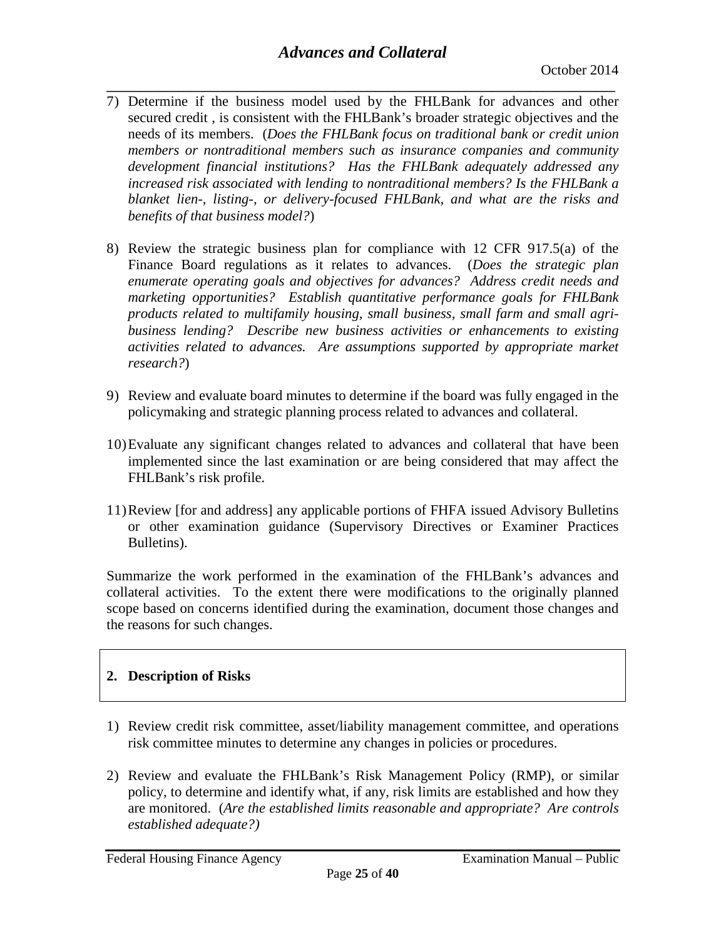- **\_\_\_\_\_\_\_\_\_\_\_\_\_\_\_\_\_\_\_\_\_\_\_\_\_\_\_\_\_\_\_\_\_\_\_\_\_\_\_\_\_\_\_\_\_\_\_\_\_\_\_\_\_\_\_\_\_\_\_\_\_\_\_\_\_\_\_\_\_\_\_\_\_\_\_\_\_\_** 7) Determine if the business model used by the FHLBank for advances and other secured credit , is consistent with the FHLBank's broader strategic objectives and the needs of its members. (*Does the FHLBank focus on traditional bank or credit union members or nontraditional members such as insurance companies and community development financial institutions? Has the FHLBank adequately addressed any increased risk associated with lending to nontraditional members? Is the FHLBank a blanket lien-, listing-, or delivery-focused FHLBank, and what are the risks and benefits of that business model?*)
- 8) Review the strategic business plan for compliance with 12 CFR 917.5(a) of the Finance Board regulations as it relates to advances. (*Does the strategic plan enumerate operating goals and objectives for advances? Address credit needs and marketing opportunities? Establish quantitative performance goals for FHLBank products related to multifamily housing, small business, small farm and small agribusiness lending? Describe new business activities or enhancements to existing activities related to advances. Are assumptions supported by appropriate market research?*)
- 9) Review and evaluate board minutes to determine if the board was fully engaged in the policymaking and strategic planning process related to advances and collateral.
- 10)Evaluate any significant changes related to advances and collateral that have been implemented since the last examination or are being considered that may affect the FHLBank's risk profile.
- 11)Review [for and address] any applicable portions of FHFA issued Advisory Bulletins or other examination guidance (Supervisory Directives or Examiner Practices Bulletins).

Summarize the work performed in the examination of the FHLBank's advances and collateral activities. To the extent there were modifications to the originally planned scope based on concerns identified during the examination, document those changes and the reasons for such changes.

# **2. Description of Risks**

- 1) Review credit risk committee, asset/liability management committee, and operations risk committee minutes to determine any changes in policies or procedures.
- 2) Review and evaluate the FHLBank's Risk Management Policy (RMP), or similar policy, to determine and identify what, if any, risk limits are established and how they are monitored. (*Are the established limits reasonable and appropriate? Are controls established adequate?)*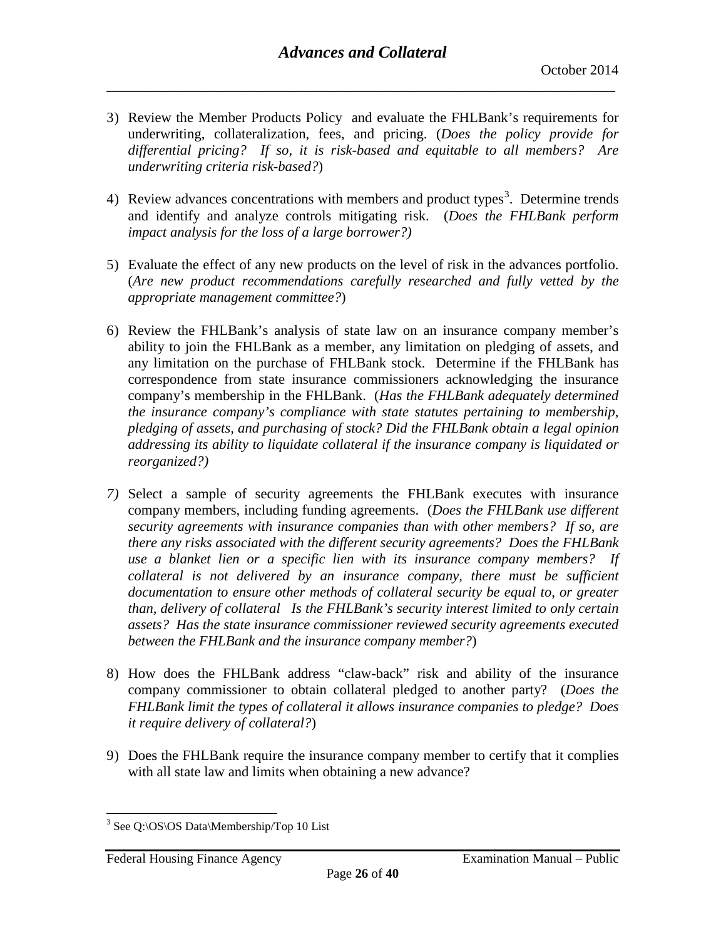- 3) Review the Member Products Policy and evaluate the FHLBank's requirements for underwriting, collateralization, fees, and pricing. (*Does the policy provide for differential pricing? If so, it is risk-based and equitable to all members? Are underwriting criteria risk-based?*)
- 4) Review advances concentrations with members and product types<sup>[3](#page-25-0)</sup>. Determine trends and identify and analyze controls mitigating risk. (*Does the FHLBank perform impact analysis for the loss of a large borrower?)*
- 5) Evaluate the effect of any new products on the level of risk in the advances portfolio. (*Are new product recommendations carefully researched and fully vetted by the appropriate management committee?*)
- 6) Review the FHLBank's analysis of state law on an insurance company member's ability to join the FHLBank as a member, any limitation on pledging of assets, and any limitation on the purchase of FHLBank stock. Determine if the FHLBank has correspondence from state insurance commissioners acknowledging the insurance company's membership in the FHLBank. (*Has the FHLBank adequately determined the insurance company's compliance with state statutes pertaining to membership, pledging of assets, and purchasing of stock? Did the FHLBank obtain a legal opinion addressing its ability to liquidate collateral if the insurance company is liquidated or reorganized?)*
- *7)* Select a sample of security agreements the FHLBank executes with insurance company members, including funding agreements. (*Does the FHLBank use different security agreements with insurance companies than with other members? If so, are there any risks associated with the different security agreements? Does the FHLBank use a blanket lien or a specific lien with its insurance company members? If collateral is not delivered by an insurance company, there must be sufficient documentation to ensure other methods of collateral security be equal to, or greater than, delivery of collateral Is the FHLBank's security interest limited to only certain assets? Has the state insurance commissioner reviewed security agreements executed between the FHLBank and the insurance company member?*)
- 8) How does the FHLBank address "claw-back" risk and ability of the insurance company commissioner to obtain collateral pledged to another party? (*Does the FHLBank limit the types of collateral it allows insurance companies to pledge? Does it require delivery of collateral?*)
- 9) Does the FHLBank require the insurance company member to certify that it complies with all state law and limits when obtaining a new advance?

<span id="page-25-0"></span><sup>&</sup>lt;sup>3</sup> See Q:\OS\OS Data\Membership/Top 10 List  $\overline{a}$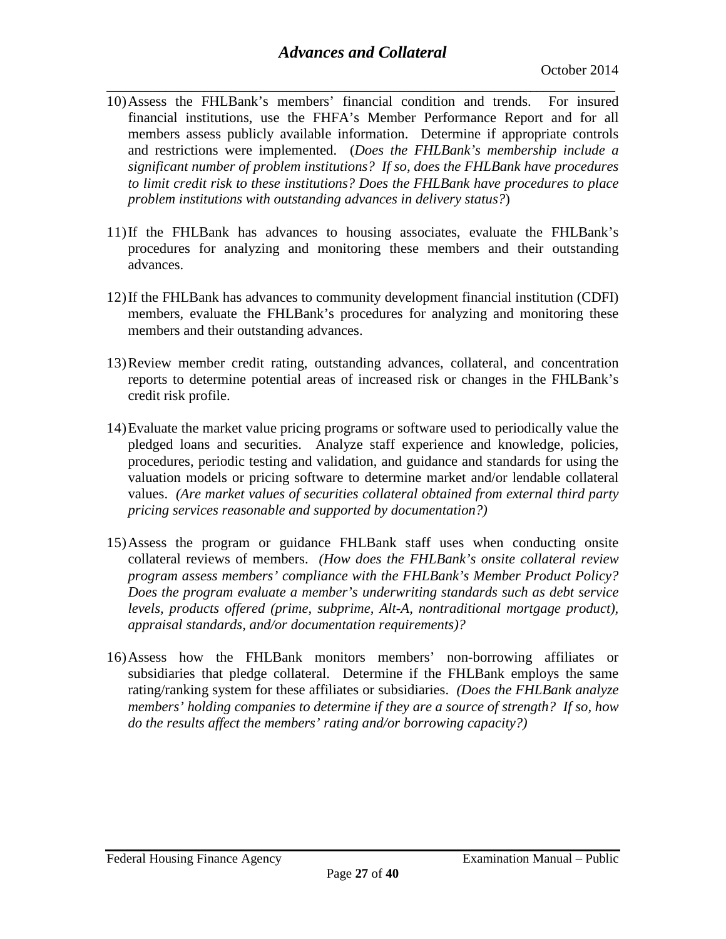- **\_\_\_\_\_\_\_\_\_\_\_\_\_\_\_\_\_\_\_\_\_\_\_\_\_\_\_\_\_\_\_\_\_\_\_\_\_\_\_\_\_\_\_\_\_\_\_\_\_\_\_\_\_\_\_\_\_\_\_\_\_\_\_\_\_\_\_\_\_\_\_\_\_\_\_\_\_\_** 10)Assess the FHLBank's members' financial condition and trends. For insured financial institutions, use the FHFA's Member Performance Report and for all members assess publicly available information. Determine if appropriate controls and restrictions were implemented. (*Does the FHLBank's membership include a significant number of problem institutions? If so, does the FHLBank have procedures to limit credit risk to these institutions? Does the FHLBank have procedures to place problem institutions with outstanding advances in delivery status?*)
- 11)If the FHLBank has advances to housing associates, evaluate the FHLBank's procedures for analyzing and monitoring these members and their outstanding advances.
- 12)If the FHLBank has advances to community development financial institution (CDFI) members, evaluate the FHLBank's procedures for analyzing and monitoring these members and their outstanding advances.
- 13)Review member credit rating, outstanding advances, collateral, and concentration reports to determine potential areas of increased risk or changes in the FHLBank's credit risk profile.
- 14)Evaluate the market value pricing programs or software used to periodically value the pledged loans and securities. Analyze staff experience and knowledge, policies, procedures, periodic testing and validation, and guidance and standards for using the valuation models or pricing software to determine market and/or lendable collateral values. *(Are market values of securities collateral obtained from external third party pricing services reasonable and supported by documentation?)*
- 15)Assess the program or guidance FHLBank staff uses when conducting onsite collateral reviews of members. *(How does the FHLBank's onsite collateral review program assess members' compliance with the FHLBank's Member Product Policy? Does the program evaluate a member's underwriting standards such as debt service levels, products offered (prime, subprime, Alt-A, nontraditional mortgage product), appraisal standards, and/or documentation requirements)?*
- 16)Assess how the FHLBank monitors members' non-borrowing affiliates or subsidiaries that pledge collateral. Determine if the FHLBank employs the same rating/ranking system for these affiliates or subsidiaries. *(Does the FHLBank analyze members' holding companies to determine if they are a source of strength? If so, how do the results affect the members' rating and/or borrowing capacity?)*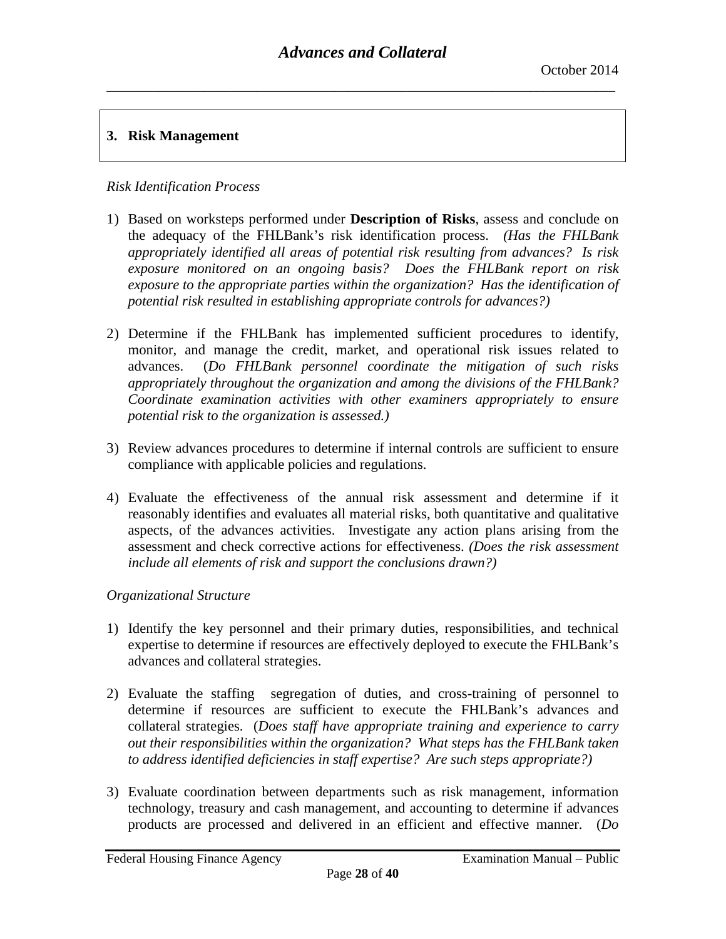## **3. Risk Management**

## *Risk Identification Process*

- 1) Based on worksteps performed under **Description of Risks**, assess and conclude on the adequacy of the FHLBank's risk identification process. *(Has the FHLBank appropriately identified all areas of potential risk resulting from advances? Is risk exposure monitored on an ongoing basis? Does the FHLBank report on risk exposure to the appropriate parties within the organization? Has the identification of potential risk resulted in establishing appropriate controls for advances?)*
- 2) Determine if the FHLBank has implemented sufficient procedures to identify, monitor, and manage the credit, market, and operational risk issues related to advances. (*Do FHLBank personnel coordinate the mitigation of such risks appropriately throughout the organization and among the divisions of the FHLBank? Coordinate examination activities with other examiners appropriately to ensure potential risk to the organization is assessed.)*
- 3) Review advances procedures to determine if internal controls are sufficient to ensure compliance with applicable policies and regulations.
- 4) Evaluate the effectiveness of the annual risk assessment and determine if it reasonably identifies and evaluates all material risks, both quantitative and qualitative aspects, of the advances activities. Investigate any action plans arising from the assessment and check corrective actions for effectiveness. *(Does the risk assessment include all elements of risk and support the conclusions drawn?)*

## *Organizational Structure*

- 1) Identify the key personnel and their primary duties, responsibilities, and technical expertise to determine if resources are effectively deployed to execute the FHLBank's advances and collateral strategies.
- 2) Evaluate the staffing segregation of duties, and cross-training of personnel to determine if resources are sufficient to execute the FHLBank's advances and collateral strategies. (*Does staff have appropriate training and experience to carry out their responsibilities within the organization? What steps has the FHLBank taken to address identified deficiencies in staff expertise? Are such steps appropriate?)*
- 3) Evaluate coordination between departments such as risk management, information technology, treasury and cash management, and accounting to determine if advances products are processed and delivered in an efficient and effective manner. (*Do*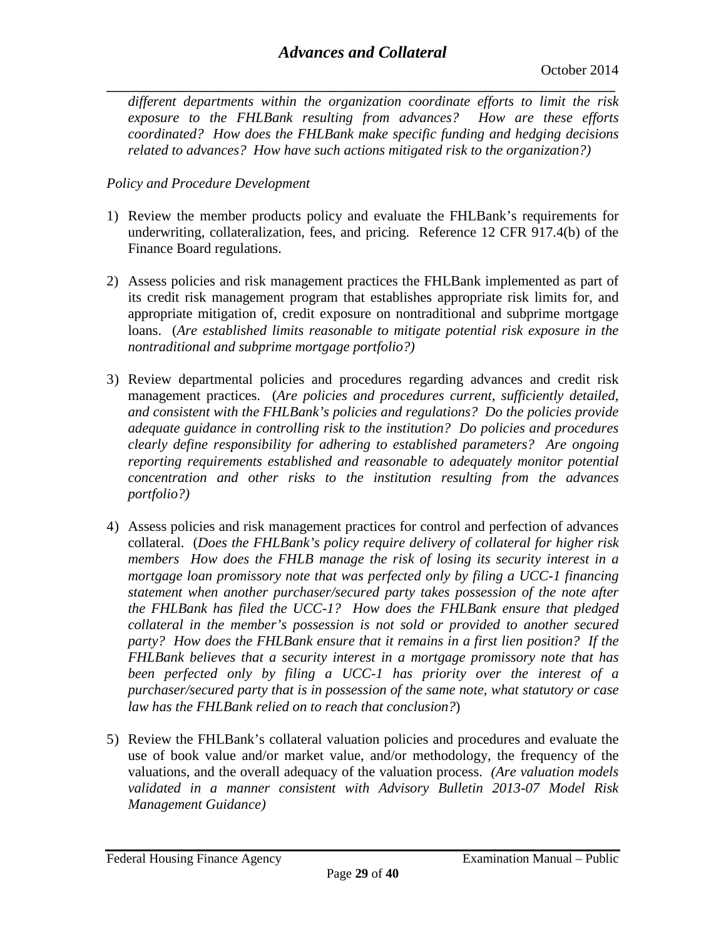**\_\_\_\_\_\_\_\_\_\_\_\_\_\_\_\_\_\_\_\_\_\_\_\_\_\_\_\_\_\_\_\_\_\_\_\_\_\_\_\_\_\_\_\_\_\_\_\_\_\_\_\_\_\_\_\_\_\_\_\_\_\_\_\_\_\_\_\_\_\_\_\_\_\_\_\_\_\_** *different departments within the organization coordinate efforts to limit the risk exposure to the FHLBank resulting from advances? How are these efforts coordinated? How does the FHLBank make specific funding and hedging decisions related to advances? How have such actions mitigated risk to the organization?)* 

## *Policy and Procedure Development*

- 1) Review the member products policy and evaluate the FHLBank's requirements for underwriting, collateralization, fees, and pricing. Reference 12 CFR 917.4(b) of the Finance Board regulations.
- 2) Assess policies and risk management practices the FHLBank implemented as part of its credit risk management program that establishes appropriate risk limits for, and appropriate mitigation of, credit exposure on nontraditional and subprime mortgage loans. (*Are established limits reasonable to mitigate potential risk exposure in the nontraditional and subprime mortgage portfolio?)*
- 3) Review departmental policies and procedures regarding advances and credit risk management practices. (*Are policies and procedures current, sufficiently detailed, and consistent with the FHLBank's policies and regulations? Do the policies provide adequate guidance in controlling risk to the institution? Do policies and procedures clearly define responsibility for adhering to established parameters? Are ongoing reporting requirements established and reasonable to adequately monitor potential concentration and other risks to the institution resulting from the advances portfolio?)*
- 4) Assess policies and risk management practices for control and perfection of advances collateral. (*Does the FHLBank's policy require delivery of collateral for higher risk members How does the FHLB manage the risk of losing its security interest in a mortgage loan promissory note that was perfected only by filing a UCC-1 financing statement when another purchaser/secured party takes possession of the note after the FHLBank has filed the UCC-1? How does the FHLBank ensure that pledged collateral in the member's possession is not sold or provided to another secured party? How does the FHLBank ensure that it remains in a first lien position? If the FHLBank believes that a security interest in a mortgage promissory note that has been perfected only by filing a UCC-1 has priority over the interest of a purchaser/secured party that is in possession of the same note, what statutory or case law has the FHLBank relied on to reach that conclusion?*)
- 5) Review the FHLBank's collateral valuation policies and procedures and evaluate the use of book value and/or market value, and/or methodology, the frequency of the valuations, and the overall adequacy of the valuation process. *(Are valuation models validated in a manner consistent with Advisory Bulletin 2013-07 Model Risk Management Guidance)*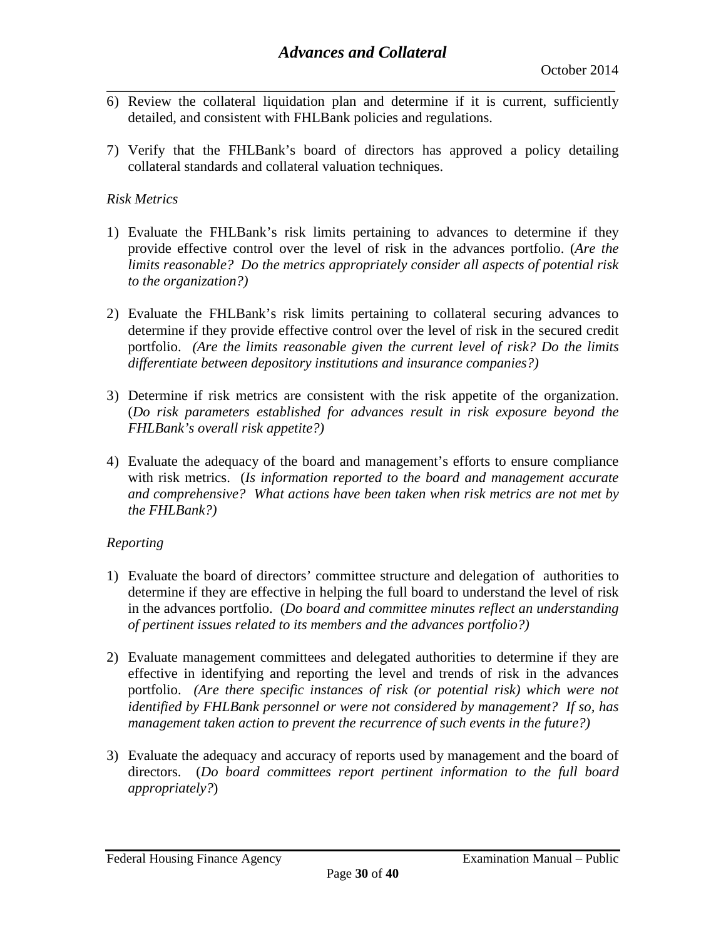- **\_\_\_\_\_\_\_\_\_\_\_\_\_\_\_\_\_\_\_\_\_\_\_\_\_\_\_\_\_\_\_\_\_\_\_\_\_\_\_\_\_\_\_\_\_\_\_\_\_\_\_\_\_\_\_\_\_\_\_\_\_\_\_\_\_\_\_\_\_\_\_\_\_\_\_\_\_\_** 6) Review the collateral liquidation plan and determine if it is current, sufficiently detailed, and consistent with FHLBank policies and regulations.
- 7) Verify that the FHLBank's board of directors has approved a policy detailing collateral standards and collateral valuation techniques.

## *Risk Metrics*

- 1) Evaluate the FHLBank's risk limits pertaining to advances to determine if they provide effective control over the level of risk in the advances portfolio. (*Are the limits reasonable? Do the metrics appropriately consider all aspects of potential risk to the organization?)*
- 2) Evaluate the FHLBank's risk limits pertaining to collateral securing advances to determine if they provide effective control over the level of risk in the secured credit portfolio. *(Are the limits reasonable given the current level of risk? Do the limits differentiate between depository institutions and insurance companies?)*
- 3) Determine if risk metrics are consistent with the risk appetite of the organization. (*Do risk parameters established for advances result in risk exposure beyond the FHLBank's overall risk appetite?)*
- 4) Evaluate the adequacy of the board and management's efforts to ensure compliance with risk metrics. (*Is information reported to the board and management accurate and comprehensive? What actions have been taken when risk metrics are not met by the FHLBank?)*

## *Reporting*

- 1) Evaluate the board of directors' committee structure and delegation of authorities to determine if they are effective in helping the full board to understand the level of risk in the advances portfolio. (*Do board and committee minutes reflect an understanding of pertinent issues related to its members and the advances portfolio?)*
- 2) Evaluate management committees and delegated authorities to determine if they are effective in identifying and reporting the level and trends of risk in the advances portfolio. *(Are there specific instances of risk (or potential risk) which were not identified by FHLBank personnel or were not considered by management? If so, has management taken action to prevent the recurrence of such events in the future?)*
- 3) Evaluate the adequacy and accuracy of reports used by management and the board of directors. (*Do board committees report pertinent information to the full board appropriately?*)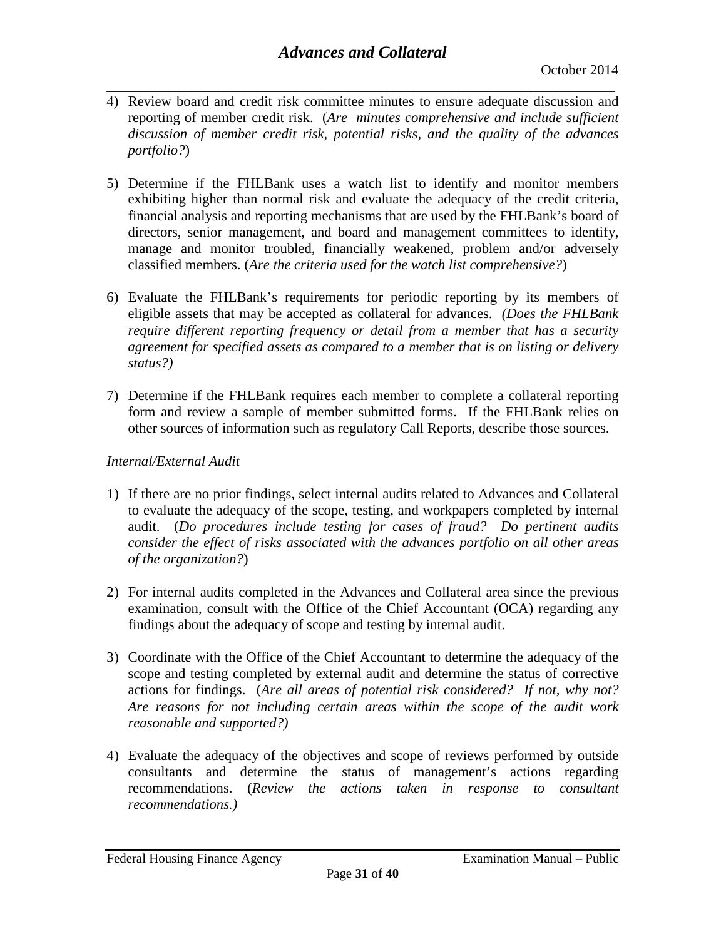- **\_\_\_\_\_\_\_\_\_\_\_\_\_\_\_\_\_\_\_\_\_\_\_\_\_\_\_\_\_\_\_\_\_\_\_\_\_\_\_\_\_\_\_\_\_\_\_\_\_\_\_\_\_\_\_\_\_\_\_\_\_\_\_\_\_\_\_\_\_\_\_\_\_\_\_\_\_\_** 4) Review board and credit risk committee minutes to ensure adequate discussion and reporting of member credit risk. (*Are minutes comprehensive and include sufficient discussion of member credit risk, potential risks, and the quality of the advances portfolio?*)
- 5) Determine if the FHLBank uses a watch list to identify and monitor members exhibiting higher than normal risk and evaluate the adequacy of the credit criteria, financial analysis and reporting mechanisms that are used by the FHLBank's board of directors, senior management, and board and management committees to identify, manage and monitor troubled, financially weakened, problem and/or adversely classified members. (*Are the criteria used for the watch list comprehensive?*)
- 6) Evaluate the FHLBank's requirements for periodic reporting by its members of eligible assets that may be accepted as collateral for advances. *(Does the FHLBank require different reporting frequency or detail from a member that has a security agreement for specified assets as compared to a member that is on listing or delivery status?)*
- 7) Determine if the FHLBank requires each member to complete a collateral reporting form and review a sample of member submitted forms. If the FHLBank relies on other sources of information such as regulatory Call Reports, describe those sources.

## *Internal/External Audit*

- 1) If there are no prior findings, select internal audits related to Advances and Collateral to evaluate the adequacy of the scope, testing, and workpapers completed by internal audit. (*Do procedures include testing for cases of fraud? Do pertinent audits consider the effect of risks associated with the advances portfolio on all other areas of the organization?*)
- 2) For internal audits completed in the Advances and Collateral area since the previous examination, consult with the Office of the Chief Accountant (OCA) regarding any findings about the adequacy of scope and testing by internal audit.
- 3) Coordinate with the Office of the Chief Accountant to determine the adequacy of the scope and testing completed by external audit and determine the status of corrective actions for findings. (*Are all areas of potential risk considered? If not, why not? Are reasons for not including certain areas within the scope of the audit work reasonable and supported?)*
- 4) Evaluate the adequacy of the objectives and scope of reviews performed by outside consultants and determine the status of management's actions regarding recommendations. (*Review the actions taken in response to consultant recommendations.)*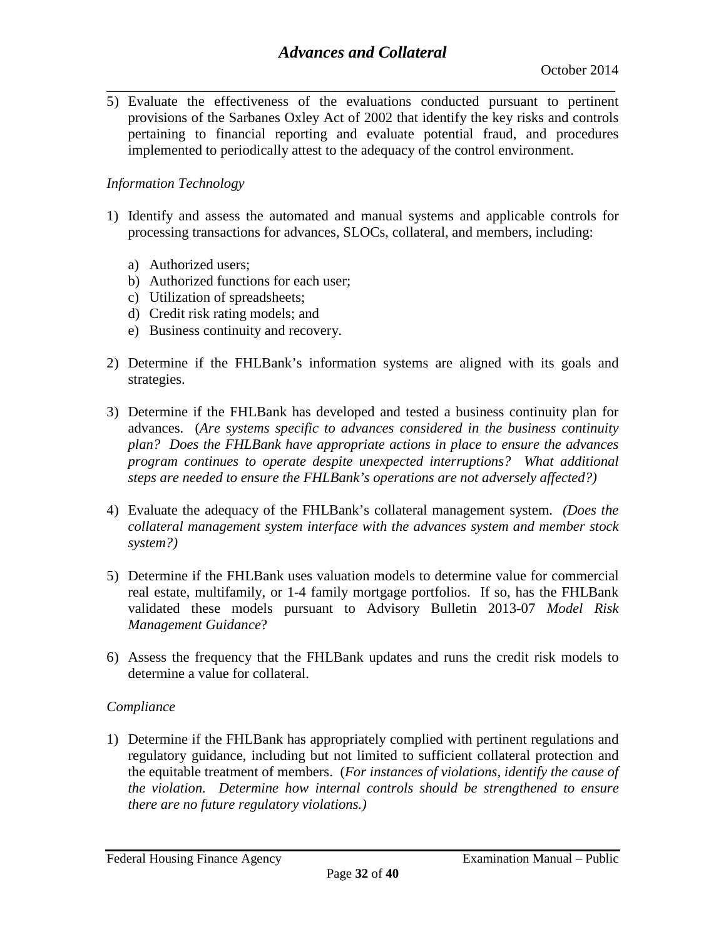**\_\_\_\_\_\_\_\_\_\_\_\_\_\_\_\_\_\_\_\_\_\_\_\_\_\_\_\_\_\_\_\_\_\_\_\_\_\_\_\_\_\_\_\_\_\_\_\_\_\_\_\_\_\_\_\_\_\_\_\_\_\_\_\_\_\_\_\_\_\_\_\_\_\_\_\_\_\_** 5) Evaluate the effectiveness of the evaluations conducted pursuant to pertinent provisions of the Sarbanes Oxley Act of 2002 that identify the key risks and controls pertaining to financial reporting and evaluate potential fraud, and procedures implemented to periodically attest to the adequacy of the control environment.

#### *Information Technology*

- 1) Identify and assess the automated and manual systems and applicable controls for processing transactions for advances, SLOCs, collateral, and members, including:
	- a) Authorized users;
	- b) Authorized functions for each user;
	- c) Utilization of spreadsheets;
	- d) Credit risk rating models; and
	- e) Business continuity and recovery.
- 2) Determine if the FHLBank's information systems are aligned with its goals and strategies.
- 3) Determine if the FHLBank has developed and tested a business continuity plan for advances. (*Are systems specific to advances considered in the business continuity plan? Does the FHLBank have appropriate actions in place to ensure the advances program continues to operate despite unexpected interruptions? What additional steps are needed to ensure the FHLBank's operations are not adversely affected?)*
- 4) Evaluate the adequacy of the FHLBank's collateral management system. *(Does the collateral management system interface with the advances system and member stock system?)*
- 5) Determine if the FHLBank uses valuation models to determine value for commercial real estate, multifamily, or 1-4 family mortgage portfolios. If so, has the FHLBank validated these models pursuant to Advisory Bulletin 2013-07 *Model Risk Management Guidance*?
- 6) Assess the frequency that the FHLBank updates and runs the credit risk models to determine a value for collateral.

#### *Compliance*

1) Determine if the FHLBank has appropriately complied with pertinent regulations and regulatory guidance, including but not limited to sufficient collateral protection and the equitable treatment of members. (*For instances of violations, identify the cause of the violation. Determine how internal controls should be strengthened to ensure there are no future regulatory violations.)*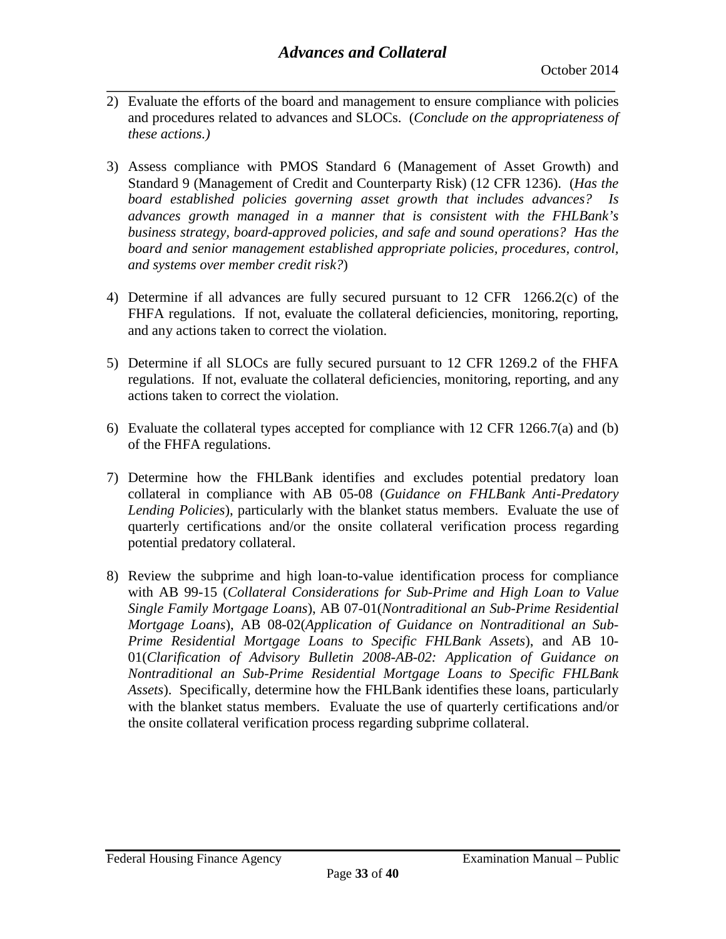- **\_\_\_\_\_\_\_\_\_\_\_\_\_\_\_\_\_\_\_\_\_\_\_\_\_\_\_\_\_\_\_\_\_\_\_\_\_\_\_\_\_\_\_\_\_\_\_\_\_\_\_\_\_\_\_\_\_\_\_\_\_\_\_\_\_\_\_\_\_\_\_\_\_\_\_\_\_\_** 2) Evaluate the efforts of the board and management to ensure compliance with policies and procedures related to advances and SLOCs. (*Conclude on the appropriateness of these actions.)*
- 3) Assess compliance with PMOS Standard 6 (Management of Asset Growth) and Standard 9 (Management of Credit and Counterparty Risk) (12 CFR 1236). (*Has the board established policies governing asset growth that includes advances? Is advances growth managed in a manner that is consistent with the FHLBank's business strategy, board-approved policies, and safe and sound operations? Has the board and senior management established appropriate policies, procedures, control, and systems over member credit risk?*)
- 4) Determine if all advances are fully secured pursuant to 12 CFR 1266.2(c) of the FHFA regulations. If not, evaluate the collateral deficiencies, monitoring, reporting, and any actions taken to correct the violation.
- 5) Determine if all SLOCs are fully secured pursuant to 12 CFR 1269.2 of the FHFA regulations. If not, evaluate the collateral deficiencies, monitoring, reporting, and any actions taken to correct the violation.
- 6) Evaluate the collateral types accepted for compliance with 12 CFR 1266.7(a) and (b) of the FHFA regulations.
- 7) Determine how the FHLBank identifies and excludes potential predatory loan collateral in compliance with AB 05-08 (*Guidance on FHLBank Anti-Predatory Lending Policies*), particularly with the blanket status members. Evaluate the use of quarterly certifications and/or the onsite collateral verification process regarding potential predatory collateral.
- 8) Review the subprime and high loan-to-value identification process for compliance with AB 99-15 (*Collateral Considerations for Sub-Prime and High Loan to Value Single Family Mortgage Loans*), AB 07-01(*Nontraditional an Sub-Prime Residential Mortgage Loans*), AB 08-02(*Application of Guidance on Nontraditional an Sub-Prime Residential Mortgage Loans to Specific FHLBank Assets*), and AB 10- 01(*Clarification of Advisory Bulletin 2008-AB-02: Application of Guidance on Nontraditional an Sub-Prime Residential Mortgage Loans to Specific FHLBank Assets*). Specifically, determine how the FHLBank identifies these loans, particularly with the blanket status members. Evaluate the use of quarterly certifications and/or the onsite collateral verification process regarding subprime collateral.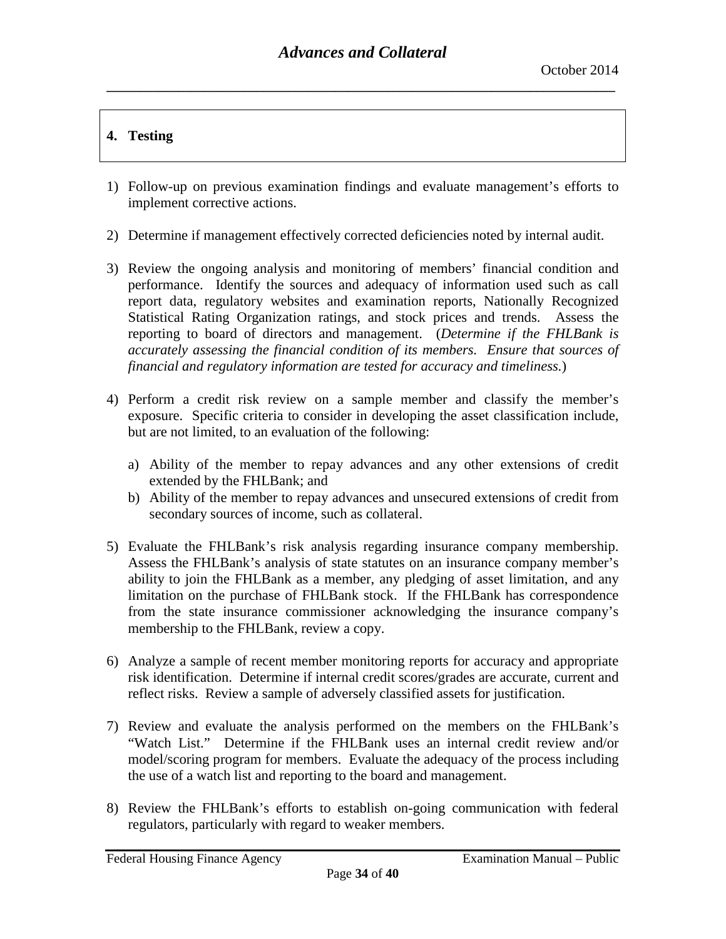# **4. Testing**

- 1) Follow-up on previous examination findings and evaluate management's efforts to implement corrective actions.
- 2) Determine if management effectively corrected deficiencies noted by internal audit.
- 3) Review the ongoing analysis and monitoring of members' financial condition and performance. Identify the sources and adequacy of information used such as call report data, regulatory websites and examination reports, Nationally Recognized Statistical Rating Organization ratings, and stock prices and trends. Assess the reporting to board of directors and management. (*Determine if the FHLBank is accurately assessing the financial condition of its members. Ensure that sources of financial and regulatory information are tested for accuracy and timeliness.*)
- 4) Perform a credit risk review on a sample member and classify the member's exposure. Specific criteria to consider in developing the asset classification include, but are not limited, to an evaluation of the following:
	- a) Ability of the member to repay advances and any other extensions of credit extended by the FHLBank; and
	- b) Ability of the member to repay advances and unsecured extensions of credit from secondary sources of income, such as collateral.
- 5) Evaluate the FHLBank's risk analysis regarding insurance company membership. Assess the FHLBank's analysis of state statutes on an insurance company member's ability to join the FHLBank as a member, any pledging of asset limitation, and any limitation on the purchase of FHLBank stock. If the FHLBank has correspondence from the state insurance commissioner acknowledging the insurance company's membership to the FHLBank, review a copy.
- 6) Analyze a sample of recent member monitoring reports for accuracy and appropriate risk identification. Determine if internal credit scores/grades are accurate, current and reflect risks. Review a sample of adversely classified assets for justification.
- 7) Review and evaluate the analysis performed on the members on the FHLBank's "Watch List." Determine if the FHLBank uses an internal credit review and/or model/scoring program for members. Evaluate the adequacy of the process including the use of a watch list and reporting to the board and management.
- 8) Review the FHLBank's efforts to establish on-going communication with federal regulators, particularly with regard to weaker members.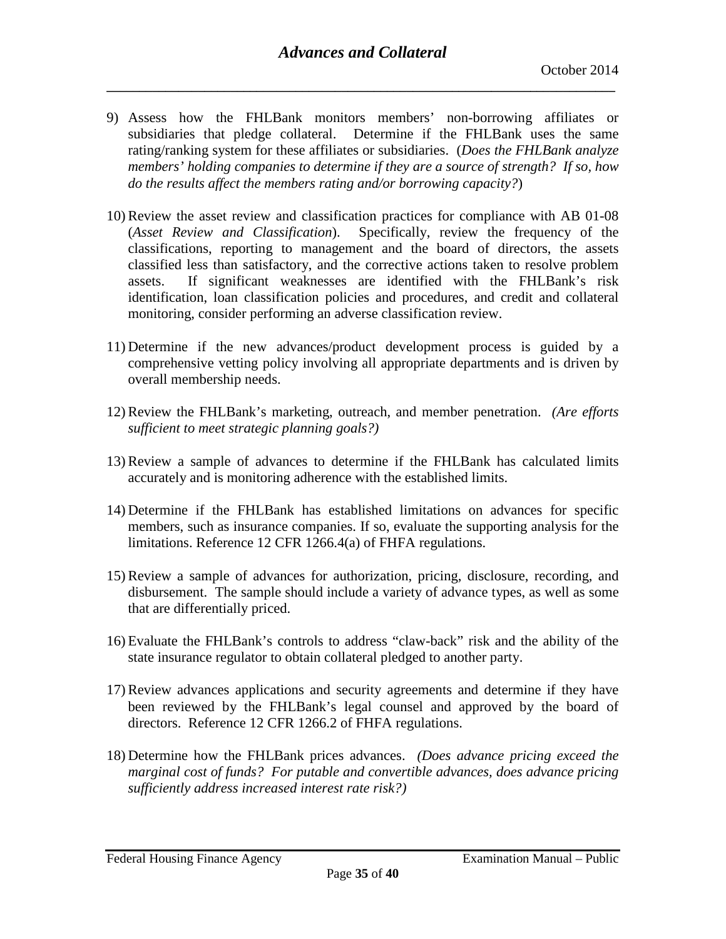- 9) Assess how the FHLBank monitors members' non-borrowing affiliates or subsidiaries that pledge collateral. Determine if the FHLBank uses the same rating/ranking system for these affiliates or subsidiaries. (*Does the FHLBank analyze members' holding companies to determine if they are a source of strength? If so, how do the results affect the members rating and/or borrowing capacity?*)
- 10) Review the asset review and classification practices for compliance with AB 01-08 (*Asset Review and Classification*). Specifically, review the frequency of the classifications, reporting to management and the board of directors, the assets classified less than satisfactory, and the corrective actions taken to resolve problem assets. If significant weaknesses are identified with the FHLBank's risk identification, loan classification policies and procedures, and credit and collateral monitoring, consider performing an adverse classification review.
- 11) Determine if the new advances/product development process is guided by a comprehensive vetting policy involving all appropriate departments and is driven by overall membership needs.
- 12) Review the FHLBank's marketing, outreach, and member penetration. *(Are efforts sufficient to meet strategic planning goals?)*
- 13) Review a sample of advances to determine if the FHLBank has calculated limits accurately and is monitoring adherence with the established limits.
- 14) Determine if the FHLBank has established limitations on advances for specific members, such as insurance companies. If so, evaluate the supporting analysis for the limitations. Reference 12 CFR 1266.4(a) of FHFA regulations.
- 15) Review a sample of advances for authorization, pricing, disclosure, recording, and disbursement. The sample should include a variety of advance types, as well as some that are differentially priced.
- 16) Evaluate the FHLBank's controls to address "claw-back" risk and the ability of the state insurance regulator to obtain collateral pledged to another party.
- 17) Review advances applications and security agreements and determine if they have been reviewed by the FHLBank's legal counsel and approved by the board of directors. Reference 12 CFR 1266.2 of FHFA regulations.
- 18) Determine how the FHLBank prices advances. *(Does advance pricing exceed the marginal cost of funds? For putable and convertible advances, does advance pricing sufficiently address increased interest rate risk?)*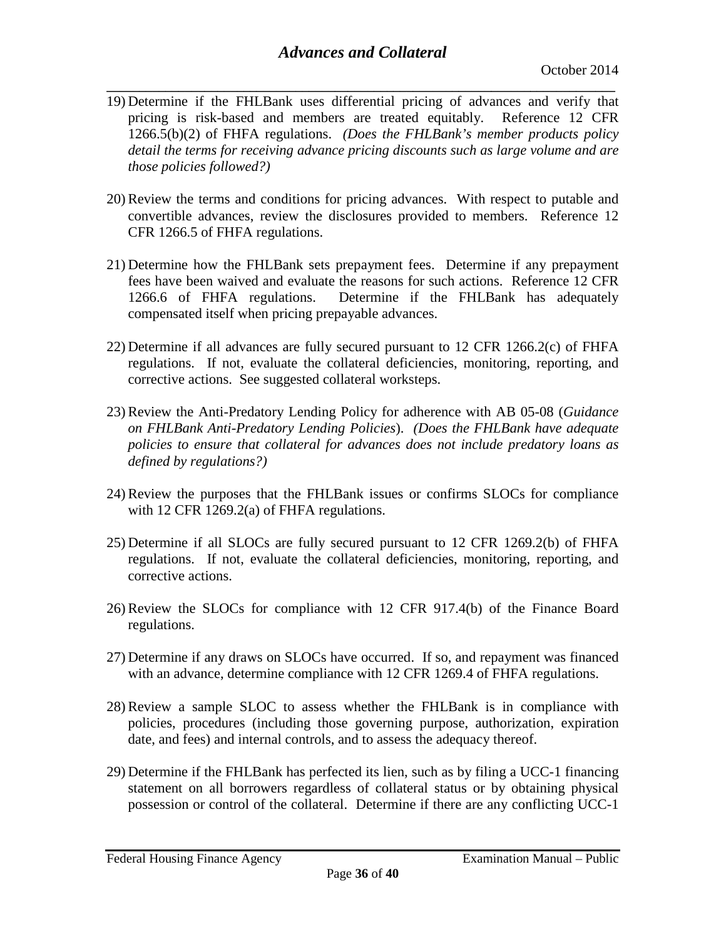- **\_\_\_\_\_\_\_\_\_\_\_\_\_\_\_\_\_\_\_\_\_\_\_\_\_\_\_\_\_\_\_\_\_\_\_\_\_\_\_\_\_\_\_\_\_\_\_\_\_\_\_\_\_\_\_\_\_\_\_\_\_\_\_\_\_\_\_\_\_\_\_\_\_\_\_\_\_\_** 19) Determine if the FHLBank uses differential pricing of advances and verify that pricing is risk-based and members are treated equitably. Reference 12 CFR 1266.5(b)(2) of FHFA regulations. *(Does the FHLBank's member products policy detail the terms for receiving advance pricing discounts such as large volume and are those policies followed?)*
- 20) Review the terms and conditions for pricing advances. With respect to putable and convertible advances, review the disclosures provided to members. Reference 12 CFR 1266.5 of FHFA regulations.
- 21) Determine how the FHLBank sets prepayment fees. Determine if any prepayment fees have been waived and evaluate the reasons for such actions. Reference 12 CFR 1266.6 of FHFA regulations. Determine if the FHLBank has adequately compensated itself when pricing prepayable advances.
- 22) Determine if all advances are fully secured pursuant to 12 CFR 1266.2(c) of FHFA regulations. If not, evaluate the collateral deficiencies, monitoring, reporting, and corrective actions. See suggested collateral worksteps.
- 23) Review the Anti-Predatory Lending Policy for adherence with AB 05-08 (*Guidance on FHLBank Anti-Predatory Lending Policies*). *(Does the FHLBank have adequate policies to ensure that collateral for advances does not include predatory loans as defined by regulations?)*
- 24) Review the purposes that the FHLBank issues or confirms SLOCs for compliance with 12 CFR 1269.2(a) of FHFA regulations.
- 25) Determine if all SLOCs are fully secured pursuant to 12 CFR 1269.2(b) of FHFA regulations. If not, evaluate the collateral deficiencies, monitoring, reporting, and corrective actions.
- 26) Review the SLOCs for compliance with 12 CFR 917.4(b) of the Finance Board regulations.
- 27) Determine if any draws on SLOCs have occurred. If so, and repayment was financed with an advance, determine compliance with 12 CFR 1269.4 of FHFA regulations.
- 28) Review a sample SLOC to assess whether the FHLBank is in compliance with policies, procedures (including those governing purpose, authorization, expiration date, and fees) and internal controls, and to assess the adequacy thereof.
- 29) Determine if the FHLBank has perfected its lien, such as by filing a UCC-1 financing statement on all borrowers regardless of collateral status or by obtaining physical possession or control of the collateral. Determine if there are any conflicting UCC-1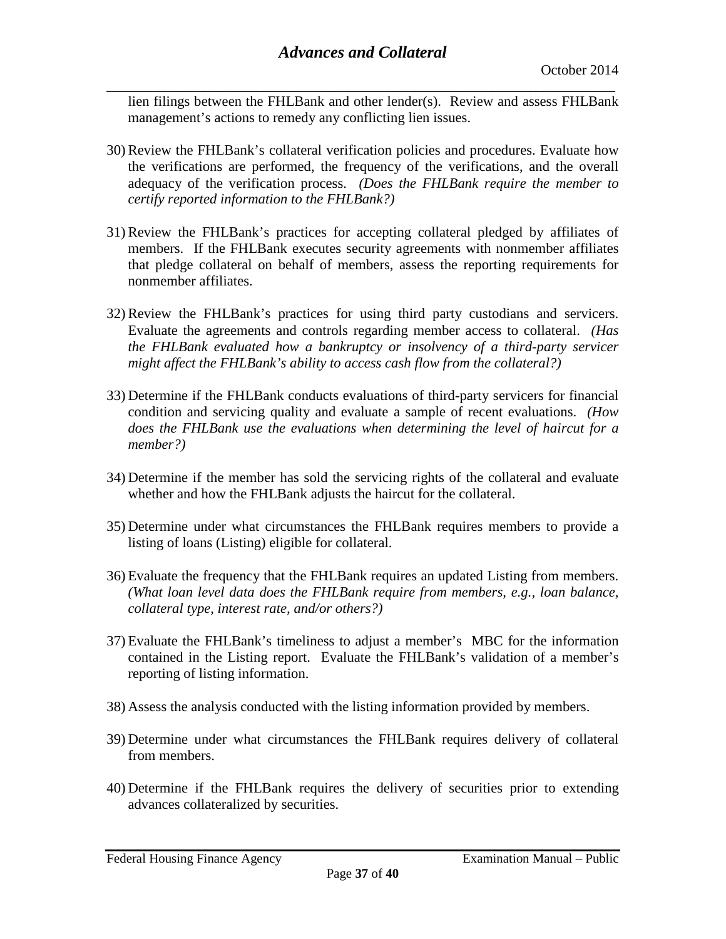**\_\_\_\_\_\_\_\_\_\_\_\_\_\_\_\_\_\_\_\_\_\_\_\_\_\_\_\_\_\_\_\_\_\_\_\_\_\_\_\_\_\_\_\_\_\_\_\_\_\_\_\_\_\_\_\_\_\_\_\_\_\_\_\_\_\_\_\_\_\_\_\_\_\_\_\_\_\_** lien filings between the FHLBank and other lender(s). Review and assess FHLBank management's actions to remedy any conflicting lien issues.

- 30) Review the FHLBank's collateral verification policies and procedures. Evaluate how the verifications are performed, the frequency of the verifications, and the overall adequacy of the verification process. *(Does the FHLBank require the member to certify reported information to the FHLBank?)*
- 31) Review the FHLBank's practices for accepting collateral pledged by affiliates of members. If the FHLBank executes security agreements with nonmember affiliates that pledge collateral on behalf of members, assess the reporting requirements for nonmember affiliates.
- 32) Review the FHLBank's practices for using third party custodians and servicers. Evaluate the agreements and controls regarding member access to collateral. *(Has the FHLBank evaluated how a bankruptcy or insolvency of a third-party servicer might affect the FHLBank's ability to access cash flow from the collateral?)*
- 33) Determine if the FHLBank conducts evaluations of third-party servicers for financial condition and servicing quality and evaluate a sample of recent evaluations. *(How does the FHLBank use the evaluations when determining the level of haircut for a member?)*
- 34) Determine if the member has sold the servicing rights of the collateral and evaluate whether and how the FHLBank adjusts the haircut for the collateral.
- 35) Determine under what circumstances the FHLBank requires members to provide a listing of loans (Listing) eligible for collateral.
- 36) Evaluate the frequency that the FHLBank requires an updated Listing from members. *(What loan level data does the FHLBank require from members, e.g., loan balance, collateral type, interest rate, and/or others?)*
- 37) Evaluate the FHLBank's timeliness to adjust a member's MBC for the information contained in the Listing report. Evaluate the FHLBank's validation of a member's reporting of listing information.
- 38) Assess the analysis conducted with the listing information provided by members.
- 39) Determine under what circumstances the FHLBank requires delivery of collateral from members.
- 40) Determine if the FHLBank requires the delivery of securities prior to extending advances collateralized by securities.

Federal Housing Finance Agency **Examination Manual – Public**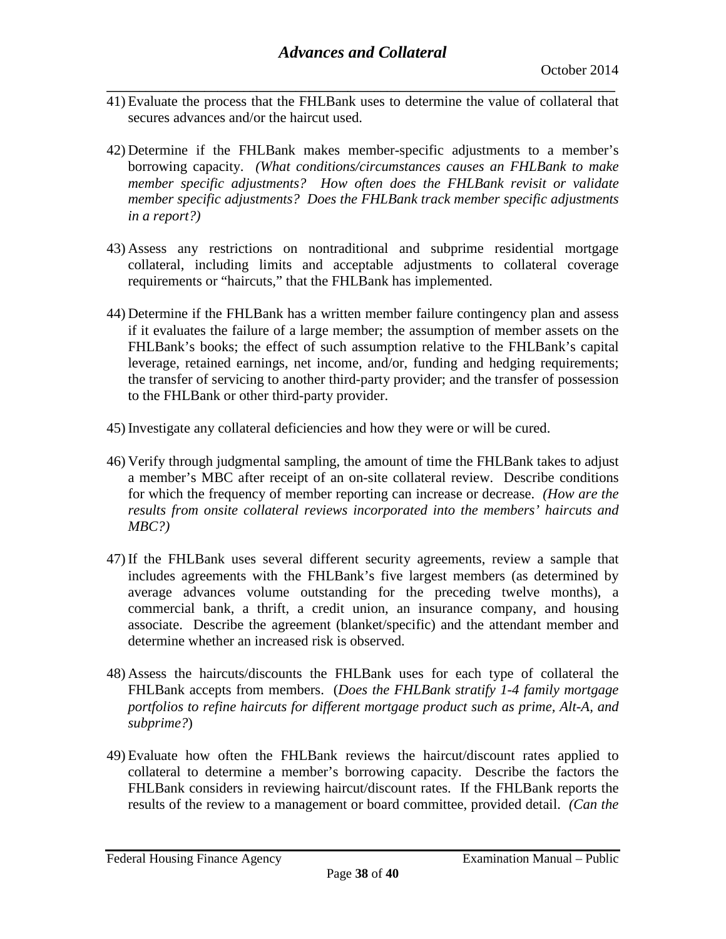- **\_\_\_\_\_\_\_\_\_\_\_\_\_\_\_\_\_\_\_\_\_\_\_\_\_\_\_\_\_\_\_\_\_\_\_\_\_\_\_\_\_\_\_\_\_\_\_\_\_\_\_\_\_\_\_\_\_\_\_\_\_\_\_\_\_\_\_\_\_\_\_\_\_\_\_\_\_\_** 41) Evaluate the process that the FHLBank uses to determine the value of collateral that secures advances and/or the haircut used.
- 42) Determine if the FHLBank makes member-specific adjustments to a member's borrowing capacity. *(What conditions/circumstances causes an FHLBank to make member specific adjustments? How often does the FHLBank revisit or validate member specific adjustments? Does the FHLBank track member specific adjustments in a report?)*
- 43) Assess any restrictions on nontraditional and subprime residential mortgage collateral, including limits and acceptable adjustments to collateral coverage requirements or "haircuts," that the FHLBank has implemented.
- 44) Determine if the FHLBank has a written member failure contingency plan and assess if it evaluates the failure of a large member; the assumption of member assets on the FHLBank's books; the effect of such assumption relative to the FHLBank's capital leverage, retained earnings, net income, and/or, funding and hedging requirements; the transfer of servicing to another third-party provider; and the transfer of possession to the FHLBank or other third-party provider.
- 45) Investigate any collateral deficiencies and how they were or will be cured.
- 46) Verify through judgmental sampling, the amount of time the FHLBank takes to adjust a member's MBC after receipt of an on-site collateral review. Describe conditions for which the frequency of member reporting can increase or decrease. *(How are the results from onsite collateral reviews incorporated into the members' haircuts and MBC?)*
- 47) If the FHLBank uses several different security agreements, review a sample that includes agreements with the FHLBank's five largest members (as determined by average advances volume outstanding for the preceding twelve months), a commercial bank, a thrift, a credit union, an insurance company, and housing associate. Describe the agreement (blanket/specific) and the attendant member and determine whether an increased risk is observed.
- 48) Assess the haircuts/discounts the FHLBank uses for each type of collateral the FHLBank accepts from members. (*Does the FHLBank stratify 1-4 family mortgage portfolios to refine haircuts for different mortgage product such as prime, Alt-A, and subprime?*)
- 49) Evaluate how often the FHLBank reviews the haircut/discount rates applied to collateral to determine a member's borrowing capacity. Describe the factors the FHLBank considers in reviewing haircut/discount rates. If the FHLBank reports the results of the review to a management or board committee, provided detail. *(Can the*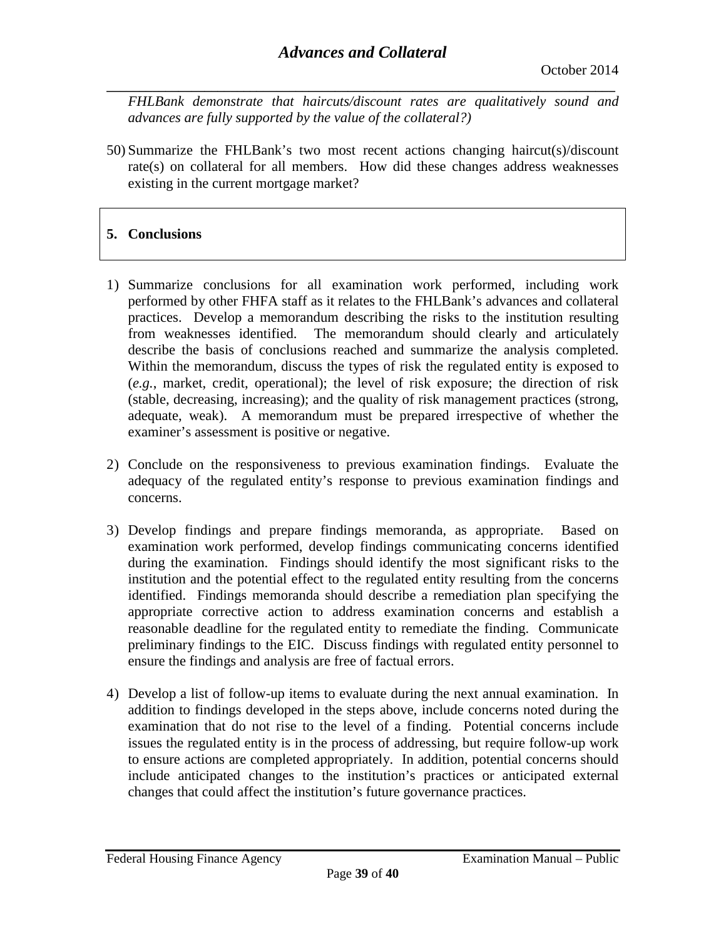**\_\_\_\_\_\_\_\_\_\_\_\_\_\_\_\_\_\_\_\_\_\_\_\_\_\_\_\_\_\_\_\_\_\_\_\_\_\_\_\_\_\_\_\_\_\_\_\_\_\_\_\_\_\_\_\_\_\_\_\_\_\_\_\_\_\_\_\_\_\_\_\_\_\_\_\_\_\_** *FHLBank demonstrate that haircuts/discount rates are qualitatively sound and advances are fully supported by the value of the collateral?)*

50) Summarize the FHLBank's two most recent actions changing haircut(s)/discount rate(s) on collateral for all members. How did these changes address weaknesses existing in the current mortgage market?

# **5. Conclusions**

- 1) Summarize conclusions for all examination work performed, including work performed by other FHFA staff as it relates to the FHLBank's advances and collateral practices. Develop a memorandum describing the risks to the institution resulting from weaknesses identified. The memorandum should clearly and articulately describe the basis of conclusions reached and summarize the analysis completed. Within the memorandum, discuss the types of risk the regulated entity is exposed to (*e.g.*, market, credit, operational); the level of risk exposure; the direction of risk (stable, decreasing, increasing); and the quality of risk management practices (strong, adequate, weak). A memorandum must be prepared irrespective of whether the examiner's assessment is positive or negative.
- 2) Conclude on the responsiveness to previous examination findings. Evaluate the adequacy of the regulated entity's response to previous examination findings and concerns.
- 3) Develop findings and prepare findings memoranda, as appropriate. Based on examination work performed, develop findings communicating concerns identified during the examination. Findings should identify the most significant risks to the institution and the potential effect to the regulated entity resulting from the concerns identified. Findings memoranda should describe a remediation plan specifying the appropriate corrective action to address examination concerns and establish a reasonable deadline for the regulated entity to remediate the finding. Communicate preliminary findings to the EIC. Discuss findings with regulated entity personnel to ensure the findings and analysis are free of factual errors.
- 4) Develop a list of follow-up items to evaluate during the next annual examination. In addition to findings developed in the steps above, include concerns noted during the examination that do not rise to the level of a finding. Potential concerns include issues the regulated entity is in the process of addressing, but require follow-up work to ensure actions are completed appropriately. In addition, potential concerns should include anticipated changes to the institution's practices or anticipated external changes that could affect the institution's future governance practices.